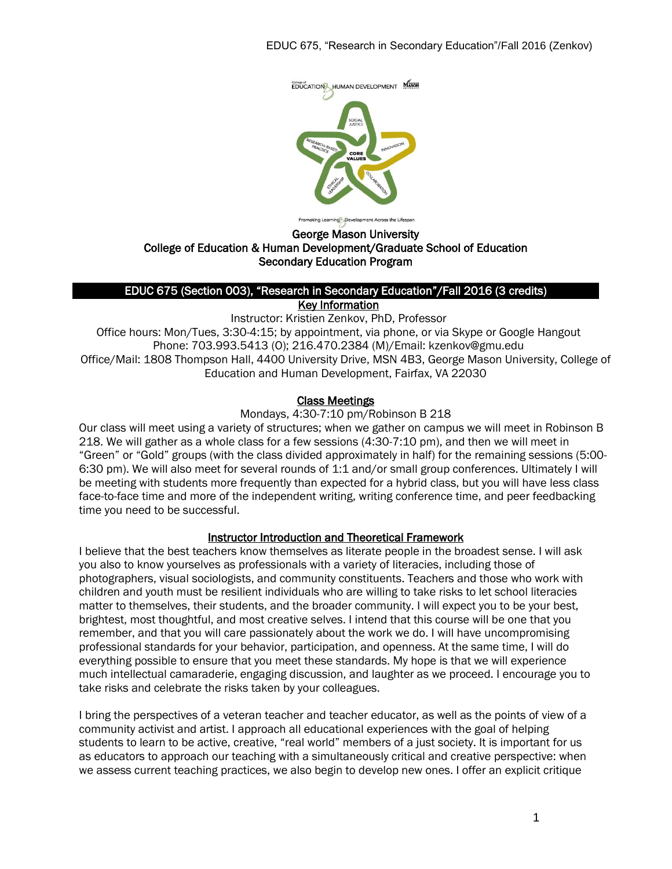

George Mason University

# College of Education & Human Development/Graduate School of Education Secondary Education Program

#### EDUC 675 (Section 003), "Research in Secondary Education"/Fall 2016 (3 credits) Key Information

Instructor: Kristien Zenkov, PhD, Professor Office hours: Mon/Tues, 3:30-4:15; by appointment, via phone, or via Skype or Google Hangout Phone: 703.993.5413 (O); 216.470.2384 (M)/Email: kzenkov@gmu.edu Office/Mail: 1808 Thompson Hall, 4400 University Drive, MSN 4B3, George Mason University, College of Education and Human Development, Fairfax, VA 22030

#### Class Meetings

Mondays, 4:30-7:10 pm/Robinson B 218

Our class will meet using a variety of structures; when we gather on campus we will meet in Robinson B 218. We will gather as a whole class for a few sessions (4:30-7:10 pm), and then we will meet in "Green" or "Gold" groups (with the class divided approximately in half) for the remaining sessions (5:00- 6:30 pm). We will also meet for several rounds of 1:1 and/or small group conferences. Ultimately I will be meeting with students more frequently than expected for a hybrid class, but you will have less class face-to-face time and more of the independent writing, writing conference time, and peer feedbacking time you need to be successful.

# Instructor Introduction and Theoretical Framework

I believe that the best teachers know themselves as literate people in the broadest sense. I will ask you also to know yourselves as professionals with a variety of literacies, including those of photographers, visual sociologists, and community constituents. Teachers and those who work with children and youth must be resilient individuals who are willing to take risks to let school literacies matter to themselves, their students, and the broader community. I will expect you to be your best, brightest, most thoughtful, and most creative selves. I intend that this course will be one that you remember, and that you will care passionately about the work we do. I will have uncompromising professional standards for your behavior, participation, and openness. At the same time, I will do everything possible to ensure that you meet these standards. My hope is that we will experience much intellectual camaraderie, engaging discussion, and laughter as we proceed. I encourage you to take risks and celebrate the risks taken by your colleagues.

I bring the perspectives of a veteran teacher and teacher educator, as well as the points of view of a community activist and artist. I approach all educational experiences with the goal of helping students to learn to be active, creative, "real world" members of a just society. It is important for us as educators to approach our teaching with a simultaneously critical and creative perspective: when we assess current teaching practices, we also begin to develop new ones. I offer an explicit critique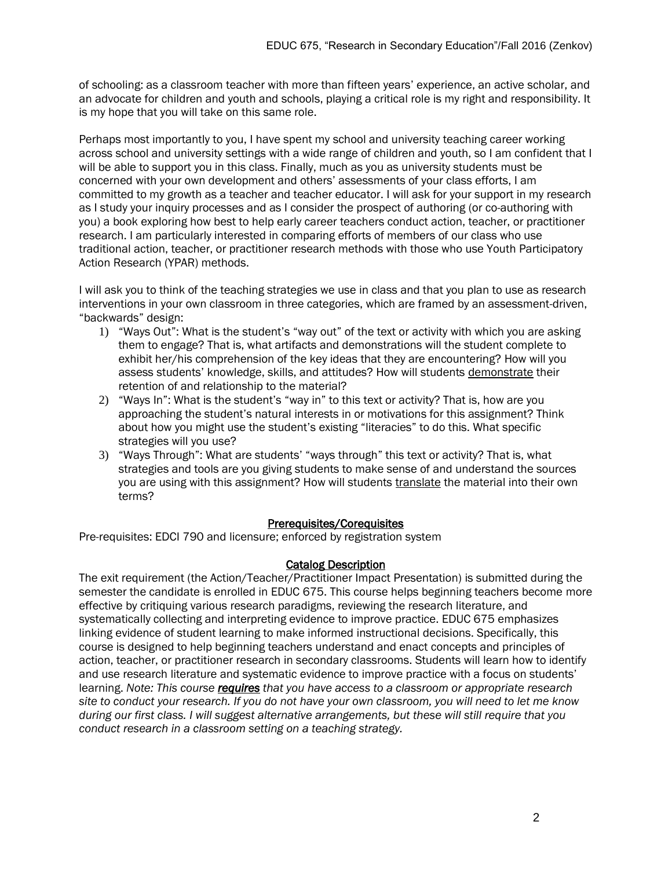of schooling: as a classroom teacher with more than fifteen years' experience, an active scholar, and an advocate for children and youth and schools, playing a critical role is my right and responsibility. It is my hope that you will take on this same role.

Perhaps most importantly to you, I have spent my school and university teaching career working across school and university settings with a wide range of children and youth, so I am confident that I will be able to support you in this class. Finally, much as you as university students must be concerned with your own development and others' assessments of your class efforts, I am committed to my growth as a teacher and teacher educator. I will ask for your support in my research as I study your inquiry processes and as I consider the prospect of authoring (or co-authoring with you) a book exploring how best to help early career teachers conduct action, teacher, or practitioner research. I am particularly interested in comparing efforts of members of our class who use traditional action, teacher, or practitioner research methods with those who use Youth Participatory Action Research (YPAR) methods.

I will ask you to think of the teaching strategies we use in class and that you plan to use as research interventions in your own classroom in three categories, which are framed by an assessment-driven, "backwards" design:

- 1) "Ways Out": What is the student's "way out" of the text or activity with which you are asking them to engage? That is, what artifacts and demonstrations will the student complete to exhibit her/his comprehension of the key ideas that they are encountering? How will you assess students' knowledge, skills, and attitudes? How will students demonstrate their retention of and relationship to the material?
- 2) "Ways In": What is the student's "way in" to this text or activity? That is, how are you approaching the student's natural interests in or motivations for this assignment? Think about how you might use the student's existing "literacies" to do this. What specific strategies will you use?
- 3) "Ways Through": What are students' "ways through" this text or activity? That is, what strategies and tools are you giving students to make sense of and understand the sources you are using with this assignment? How will students translate the material into their own terms?

# Prerequisites/Corequisites

Pre-requisites: EDCI 790 and licensure; enforced by registration system

# Catalog Description

The exit requirement (the Action/Teacher/Practitioner Impact Presentation) is submitted during the semester the candidate is enrolled in EDUC 675. This course helps beginning teachers become more effective by critiquing various research paradigms, reviewing the research literature, and systematically collecting and interpreting evidence to improve practice. EDUC 675 emphasizes linking evidence of student learning to make informed instructional decisions. Specifically, this course is designed to help beginning teachers understand and enact concepts and principles of action, teacher, or practitioner research in secondary classrooms. Students will learn how to identify and use research literature and systematic evidence to improve practice with a focus on students' learning. *Note: This course requires that you have access to a classroom or appropriate research site to conduct your research. If you do not have your own classroom, you will need to let me know during our first class. I will suggest alternative arrangements, but these will still require that you conduct research in a classroom setting on a teaching strategy.*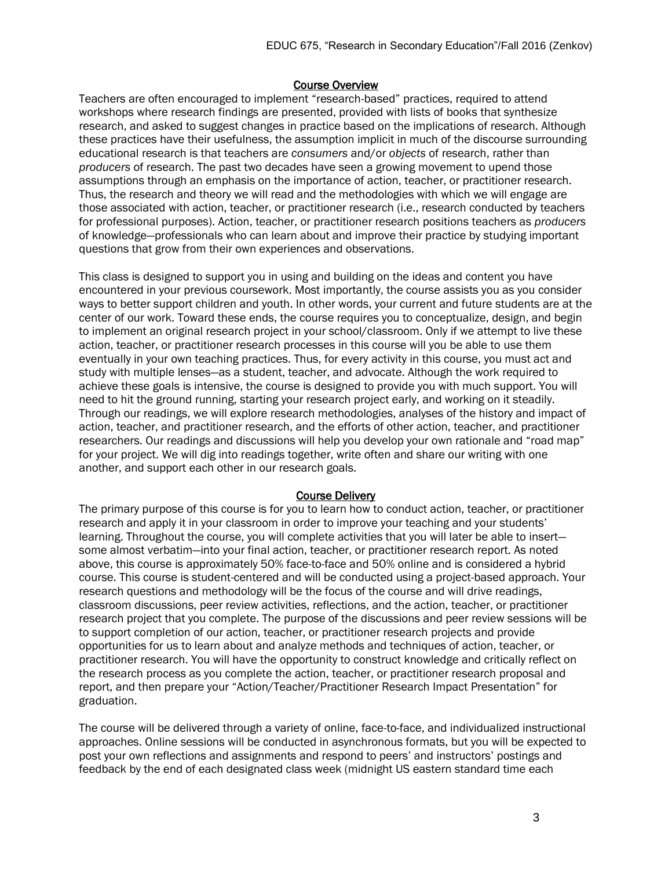#### Course Overview

Teachers are often encouraged to implement "research-based" practices, required to attend workshops where research findings are presented, provided with lists of books that synthesize research, and asked to suggest changes in practice based on the implications of research. Although these practices have their usefulness, the assumption implicit in much of the discourse surrounding educational research is that teachers are *consumers* and/or *objects* of research, rather than *producers* of research. The past two decades have seen a growing movement to upend those assumptions through an emphasis on the importance of action, teacher, or practitioner research. Thus, the research and theory we will read and the methodologies with which we will engage are those associated with action, teacher, or practitioner research (i.e., research conducted by teachers for professional purposes). Action, teacher, or practitioner research positions teachers as *producers* of knowledge—professionals who can learn about and improve their practice by studying important questions that grow from their own experiences and observations.

This class is designed to support you in using and building on the ideas and content you have encountered in your previous coursework. Most importantly, the course assists you as you consider ways to better support children and youth. In other words, your current and future students are at the center of our work. Toward these ends, the course requires you to conceptualize, design, and begin to implement an original research project in your school/classroom. Only if we attempt to live these action, teacher, or practitioner research processes in this course will you be able to use them eventually in your own teaching practices. Thus, for every activity in this course, you must act and study with multiple lenses—as a student, teacher, and advocate. Although the work required to achieve these goals is intensive, the course is designed to provide you with much support. You will need to hit the ground running, starting your research project early, and working on it steadily. Through our readings, we will explore research methodologies, analyses of the history and impact of action, teacher, and practitioner research, and the efforts of other action, teacher, and practitioner researchers. Our readings and discussions will help you develop your own rationale and "road map" for your project. We will dig into readings together, write often and share our writing with one another, and support each other in our research goals.

#### Course Delivery

The primary purpose of this course is for you to learn how to conduct action, teacher, or practitioner research and apply it in your classroom in order to improve your teaching and your students' learning. Throughout the course, you will complete activities that you will later be able to insert some almost verbatim—into your final action, teacher, or practitioner research report. As noted above, this course is approximately 50% face-to-face and 50% online and is considered a hybrid course. This course is student-centered and will be conducted using a project-based approach. Your research questions and methodology will be the focus of the course and will drive readings, classroom discussions, peer review activities, reflections, and the action, teacher, or practitioner research project that you complete. The purpose of the discussions and peer review sessions will be to support completion of our action, teacher, or practitioner research projects and provide opportunities for us to learn about and analyze methods and techniques of action, teacher, or practitioner research. You will have the opportunity to construct knowledge and critically reflect on the research process as you complete the action, teacher, or practitioner research proposal and report, and then prepare your "Action/Teacher/Practitioner Research Impact Presentation" for graduation.

The course will be delivered through a variety of online, face-to-face, and individualized instructional approaches. Online sessions will be conducted in asynchronous formats, but you will be expected to post your own reflections and assignments and respond to peers' and instructors' postings and feedback by the end of each designated class week (midnight US eastern standard time each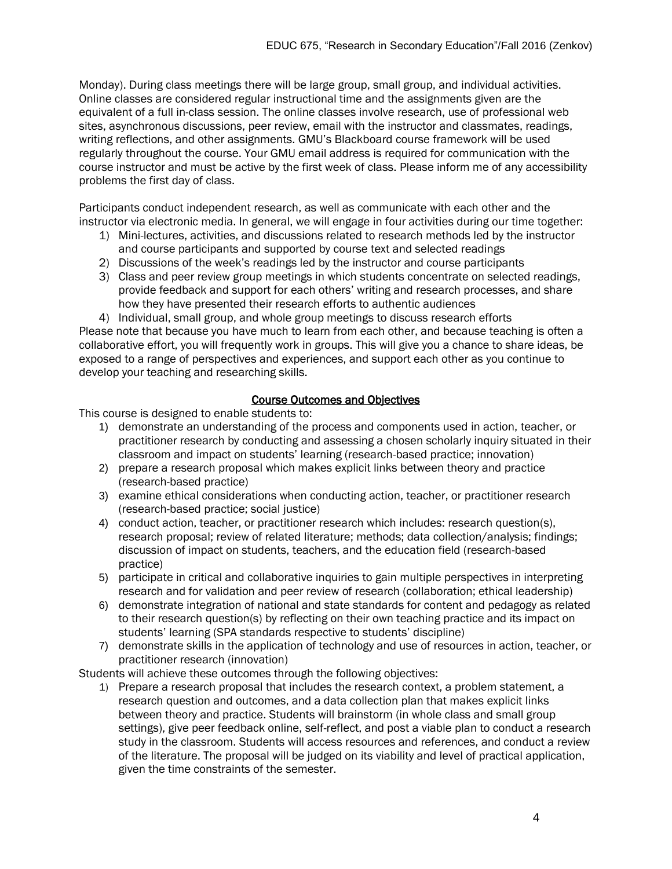Monday). During class meetings there will be large group, small group, and individual activities. Online classes are considered regular instructional time and the assignments given are the equivalent of a full in-class session. The online classes involve research, use of professional web sites, asynchronous discussions, peer review, email with the instructor and classmates, readings, writing reflections, and other assignments. GMU's Blackboard course framework will be used regularly throughout the course. Your GMU email address is required for communication with the course instructor and must be active by the first week of class. Please inform me of any accessibility problems the first day of class.

Participants conduct independent research, as well as communicate with each other and the instructor via electronic media. In general, we will engage in four activities during our time together:

- 1) Mini-lectures, activities, and discussions related to research methods led by the instructor and course participants and supported by course text and selected readings
- 2) Discussions of the week's readings led by the instructor and course participants
- 3) Class and peer review group meetings in which students concentrate on selected readings, provide feedback and support for each others' writing and research processes, and share how they have presented their research efforts to authentic audiences
- 4) Individual, small group, and whole group meetings to discuss research efforts

Please note that because you have much to learn from each other, and because teaching is often a collaborative effort, you will frequently work in groups. This will give you a chance to share ideas, be exposed to a range of perspectives and experiences, and support each other as you continue to develop your teaching and researching skills.

#### Course Outcomes and Objectives

This course is designed to enable students to:

- 1) demonstrate an understanding of the process and components used in action, teacher, or practitioner research by conducting and assessing a chosen scholarly inquiry situated in their classroom and impact on students' learning (research-based practice; innovation)
- 2) prepare a research proposal which makes explicit links between theory and practice (research-based practice)
- 3) examine ethical considerations when conducting action, teacher, or practitioner research (research-based practice; social justice)
- 4) conduct action, teacher, or practitioner research which includes: research question(s), research proposal; review of related literature; methods; data collection/analysis; findings; discussion of impact on students, teachers, and the education field (research-based practice)
- 5) participate in critical and collaborative inquiries to gain multiple perspectives in interpreting research and for validation and peer review of research (collaboration; ethical leadership)
- 6) demonstrate integration of national and state standards for content and pedagogy as related to their research question(s) by reflecting on their own teaching practice and its impact on students' learning (SPA standards respective to students' discipline)
- 7) demonstrate skills in the application of technology and use of resources in action, teacher, or practitioner research (innovation)

Students will achieve these outcomes through the following objectives:

1) Prepare a research proposal that includes the research context, a problem statement, a research question and outcomes, and a data collection plan that makes explicit links between theory and practice. Students will brainstorm (in whole class and small group settings), give peer feedback online, self-reflect, and post a viable plan to conduct a research study in the classroom. Students will access resources and references, and conduct a review of the literature. The proposal will be judged on its viability and level of practical application, given the time constraints of the semester.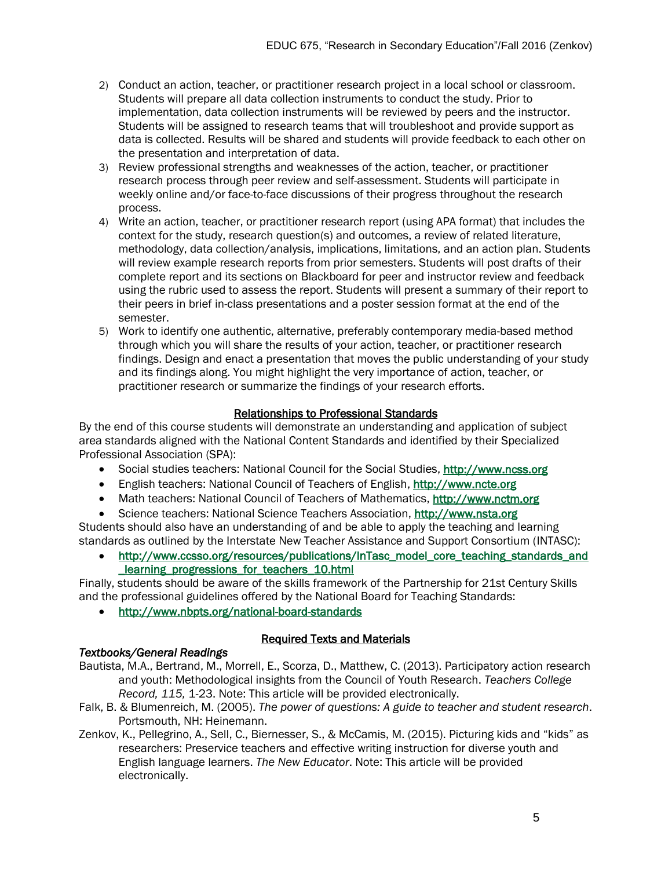- 2) Conduct an action, teacher, or practitioner research project in a local school or classroom. Students will prepare all data collection instruments to conduct the study. Prior to implementation, data collection instruments will be reviewed by peers and the instructor. Students will be assigned to research teams that will troubleshoot and provide support as data is collected. Results will be shared and students will provide feedback to each other on the presentation and interpretation of data.
- 3) Review professional strengths and weaknesses of the action, teacher, or practitioner research process through peer review and self-assessment. Students will participate in weekly online and/or face-to-face discussions of their progress throughout the research process.
- 4) Write an action, teacher, or practitioner research report (using APA format) that includes the context for the study, research question(s) and outcomes, a review of related literature, methodology, data collection/analysis, implications, limitations, and an action plan. Students will review example research reports from prior semesters. Students will post drafts of their complete report and its sections on Blackboard for peer and instructor review and feedback using the rubric used to assess the report. Students will present a summary of their report to their peers in brief in-class presentations and a poster session format at the end of the semester.
- 5) Work to identify one authentic, alternative, preferably contemporary media-based method through which you will share the results of your action, teacher, or practitioner research findings. Design and enact a presentation that moves the public understanding of your study and its findings along. You might highlight the very importance of action, teacher, or practitioner research or summarize the findings of your research efforts.

# Relationships to Professional Standards

By the end of this course students will demonstrate an understanding and application of subject area standards aligned with the National Content Standards and identified by their Specialized Professional Association (SPA):

- Social studies teachers: National Council for the Social Studies, [http://www.ncss.org](http://www.ncss.org/)
- English teachers: National Council of Teachers of English, [http://www.ncte.org](http://www.ncte.org/)
- Math teachers: National Council of Teachers of Mathematics, [http://www.nctm.org](http://www.nctm.org/)
- Science teachers: National Science Teachers Association, [http://www.nsta.org](http://www.nsta.org/)

Students should also have an understanding of and be able to apply the teaching and learning standards as outlined by the Interstate New Teacher Assistance and Support Consortium (INTASC):

 [http://www.ccsso.org/resources/publications/InTasc\\_model\\_core\\_teaching\\_standards\\_and](http://www.ccsso.org/resources/publications/InTasc_model_core_teaching_standards_and_learning_progressions_for_teachers_10.html) [\\_learning\\_progressions\\_for\\_teachers\\_10.html](http://www.ccsso.org/resources/publications/InTasc_model_core_teaching_standards_and_learning_progressions_for_teachers_10.html)

Finally, students should be aware of the skills framework of the Partnership for 21st Century Skills and the professional guidelines offered by the National Board for Teaching Standards:

<http://www.nbpts.org/national-board-standards>

# Required Texts and Materials

- *Textbooks/General Readings*  Bautista, M.A., Bertrand, M., Morrell, E., Scorza, D., Matthew, C. (2013). Participatory action research and youth: Methodological insights from the Council of Youth Research. *Teachers College* 
	- *Record, 115,* 1-23. Note: This article will be provided electronically.
- Falk, B. & Blumenreich, M. (2005). *The power of questions: A guide to teacher and student research*. Portsmouth, NH: Heinemann.
- Zenkov, K., Pellegrino, A., Sell, C., Biernesser, S., & McCamis, M. (2015). Picturing kids and "kids" as researchers: Preservice teachers and effective writing instruction for diverse youth and English language learners. *The New Educator*. Note: This article will be provided electronically.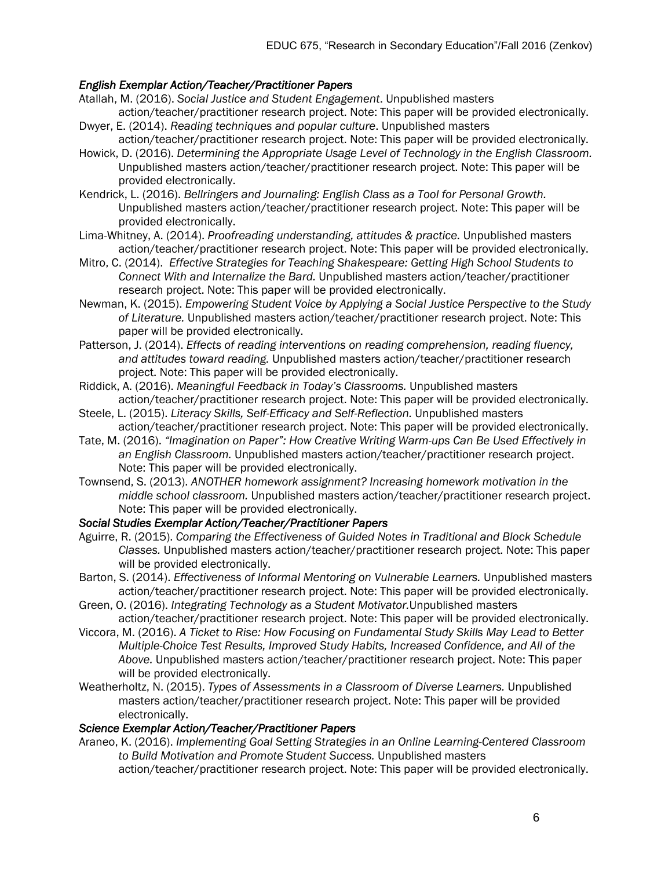# *English Exemplar Action/Teacher/Practitioner Papers*

- Atallah, M. (2016). *Social Justice and Student Engagement*. Unpublished masters
- action/teacher/practitioner research project. Note: This paper will be provided electronically. Dwyer, E. (2014). *Reading techniques and popular culture*. Unpublished masters
- action/teacher/practitioner research project. Note: This paper will be provided electronically. Howick, D. (2016). *Determining the Appropriate Usage Level of Technology in the English Classroom.*
- Unpublished masters action/teacher/practitioner research project. Note: This paper will be provided electronically.
- Kendrick, L. (2016). *Bellringers and Journaling: English Class as a Tool for Personal Growth.* Unpublished masters action/teacher/practitioner research project. Note: This paper will be provided electronically.
- Lima-Whitney, A. (2014). *Proofreading understanding, attitudes & practice.* Unpublished masters action/teacher/practitioner research project. Note: This paper will be provided electronically.
- Mitro, C. (2014). *Effective Strategies for Teaching Shakespeare: Getting High School Students to Connect With and Internalize the Bard.* Unpublished masters action/teacher/practitioner research project. Note: This paper will be provided electronically.
- Newman, K. (2015). *Empowering Student Voice by Applying a Social Justice Perspective to the Study of Literature.* Unpublished masters action/teacher/practitioner research project. Note: This paper will be provided electronically.
- Patterson, J. (2014). *Effects of reading interventions on reading comprehension, reading fluency, and attitudes toward reading.* Unpublished masters action/teacher/practitioner research project. Note: This paper will be provided electronically.
- Riddick, A. (2016). *Meaningful Feedback in Today's Classrooms.* Unpublished masters action/teacher/practitioner research project. Note: This paper will be provided electronically.
- Steele, L. (2015). *Literacy Skills, Self-Efficacy and Self-Reflection.* Unpublished masters action/teacher/practitioner research project. Note: This paper will be provided electronically.
- Tate, M. (2016). *"Imagination on Paper": How Creative Writing Warm-ups Can Be Used Effectively in an English Classroom.* Unpublished masters action/teacher/practitioner research project. Note: This paper will be provided electronically.
- Townsend, S. (2013). *ANOTHER homework assignment? Increasing homework motivation in the middle school classroom.* Unpublished masters action/teacher/practitioner research project. Note: This paper will be provided electronically.

#### *Social Studies Exemplar Action/Teacher/Practitioner Papers*

- Aguirre, R. (2015). *Comparing the Effectiveness of Guided Notes in Traditional and Block Schedule Classes.* Unpublished masters action/teacher/practitioner research project. Note: This paper will be provided electronically.
- Barton, S. (2014). *Effectiveness of Informal Mentoring on Vulnerable Learners.* Unpublished masters action/teacher/practitioner research project. Note: This paper will be provided electronically.
- Green, O. (2016). *Integrating Technology as a Student Motivator.*Unpublished masters action/teacher/practitioner research project. Note: This paper will be provided electronically.
- Viccora, M. (2016). *A Ticket to Rise: How Focusing on Fundamental Study Skills May Lead to Better Multiple-Choice Test Results, Improved Study Habits, Increased Confidence, and All of the Above.* Unpublished masters action/teacher/practitioner research project. Note: This paper will be provided electronically.
- Weatherholtz, N. (2015). *Types of Assessments in a Classroom of Diverse Learners.* Unpublished masters action/teacher/practitioner research project. Note: This paper will be provided electronically.

#### *Science Exemplar Action/Teacher/Practitioner Papers*

- Araneo, K. (2016). *Implementing Goal Setting Strategies in an Online Learning-Centered Classroom to Build Motivation and Promote Student Success.* Unpublished masters
	- action/teacher/practitioner research project. Note: This paper will be provided electronically.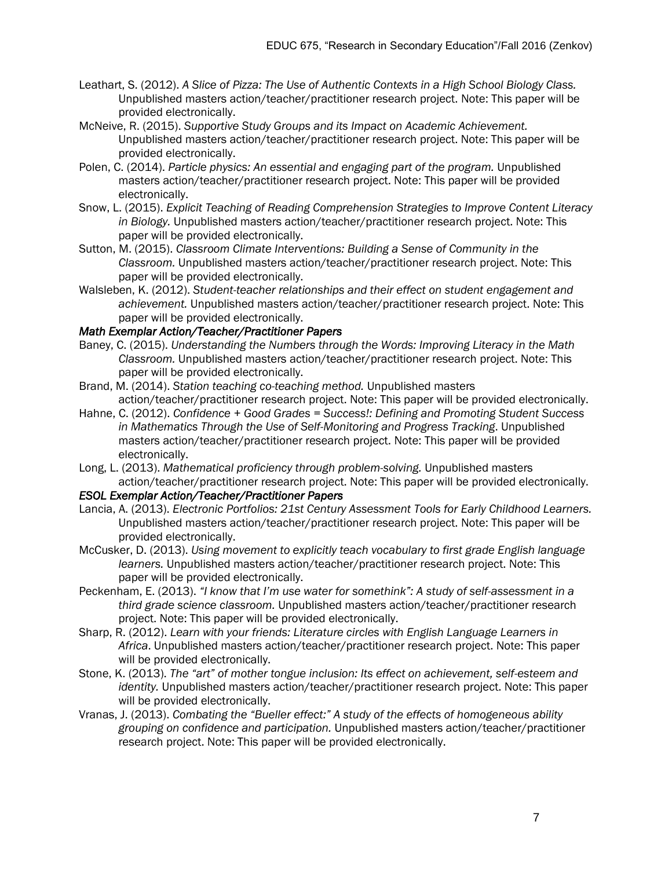- Leathart, S. (2012). *A Slice of Pizza: The Use of Authentic Contexts in a High School Biology Class.* Unpublished masters action/teacher/practitioner research project. Note: This paper will be provided electronically.
- McNeive, R. (2015). *Supportive Study Groups and its Impact on Academic Achievement.* Unpublished masters action/teacher/practitioner research project. Note: This paper will be provided electronically.
- Polen, C. (2014). *Particle physics: An essential and engaging part of the program.* Unpublished masters action/teacher/practitioner research project. Note: This paper will be provided electronically.
- Snow, L. (2015). *Explicit Teaching of Reading Comprehension Strategies to Improve Content Literacy in Biology.* Unpublished masters action/teacher/practitioner research project. Note: This paper will be provided electronically.
- Sutton, M. (2015). *Classroom Climate Interventions: Building a Sense of Community in the Classroom.* Unpublished masters action/teacher/practitioner research project. Note: This paper will be provided electronically.
- Walsleben, K. (2012). *Student-teacher relationships and their effect on student engagement and achievement.* Unpublished masters action/teacher/practitioner research project. Note: This paper will be provided electronically.

# *Math Exemplar Action/Teacher/Practitioner Papers*

- Baney, C. (2015). *Understanding the Numbers through the Words: Improving Literacy in the Math Classroom.* Unpublished masters action/teacher/practitioner research project. Note: This paper will be provided electronically.
- Brand, M. (2014). *Station teaching co-teaching method.* Unpublished masters action/teacher/practitioner research project. Note: This paper will be provided electronically.
- Hahne, C. (2012). *Confidence + Good Grades = Success!: Defining and Promoting Student Success in Mathematics Through the Use of Self-Monitoring and Progress Tracking*. Unpublished masters action/teacher/practitioner research project. Note: This paper will be provided electronically.
- Long, L. (2013). *Mathematical proficiency through problem-solving.* Unpublished masters action/teacher/practitioner research project. Note: This paper will be provided electronically.

#### *ESOL Exemplar Action/Teacher/Practitioner Papers*

- Lancia, A. (2013). *Electronic Portfolios: 21st Century Assessment Tools for Early Childhood Learners.* Unpublished masters action/teacher/practitioner research project. Note: This paper will be provided electronically.
- McCusker, D. (2013). *Using movement to explicitly teach vocabulary to first grade English language learners.* Unpublished masters action/teacher/practitioner research project. Note: This paper will be provided electronically.
- Peckenham, E. (2013). *"I know that I'm use water for somethink": A study of self-assessment in a third grade science classroom.* Unpublished masters action/teacher/practitioner research project. Note: This paper will be provided electronically.
- Sharp, R. (2012). *Learn with your friends: Literature circles with English Language Learners in Africa*. Unpublished masters action/teacher/practitioner research project. Note: This paper will be provided electronically.
- Stone, K. (2013). *The "art" of mother tongue inclusion: Its effect on achievement, self-esteem and identity.* Unpublished masters action/teacher/practitioner research project. Note: This paper will be provided electronically.
- Vranas, J. (2013). *Combating the "Bueller effect:" A study of the effects of homogeneous ability grouping on confidence and participation.* Unpublished masters action/teacher/practitioner research project. Note: This paper will be provided electronically.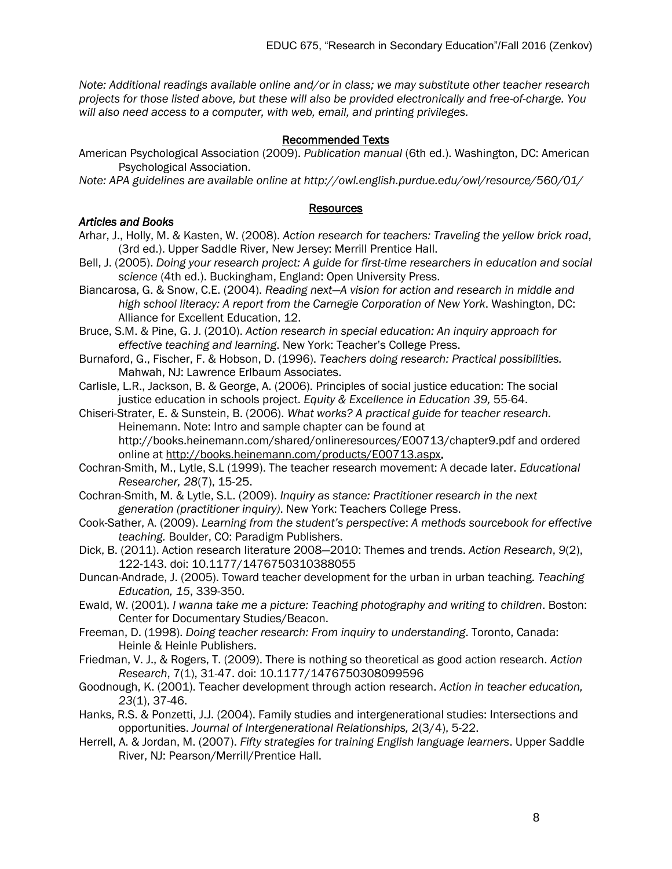*Note: Additional readings available online and/or in class; we may substitute other teacher research projects for those listed above, but these will also be provided electronically and free-of-charge. You will also need access to a computer, with web, email, and printing privileges.*

#### Recommended Texts

American Psychological Association (2009). *Publication manual* (6th ed.). Washington, DC: American Psychological Association.

*Note: APA guidelines are available online at http://owl.english.purdue.edu/owl/resource/560/01/*

#### Resources

# *Articles and Books*

- Arhar, J., Holly, M. & Kasten, W. (2008). *Action research for teachers: Traveling the yellow brick road*, (3rd ed.). Upper Saddle River, New Jersey: Merrill Prentice Hall.
- Bell, J. (2005). *Doing your research project: A guide for first-time researchers in education and social science* (4th ed.). Buckingham, England: Open University Press.
- Biancarosa, G. & Snow, C.E. (2004). *Reading next—A vision for action and research in middle and high school literacy: A report from the Carnegie Corporation of New York*. Washington, DC: Alliance for Excellent Education, 12.
- Bruce, S.M. & Pine, G. J. (2010). *Action research in special education: An inquiry approach for effective teaching and learning*. New York: Teacher's College Press.
- Burnaford, G., Fischer, F. & Hobson, D. (1996). *Teachers doing research: Practical possibilities.* Mahwah, NJ: Lawrence Erlbaum Associates.
- Carlisle, L.R., Jackson, B. & George, A. (2006). Principles of social justice education: The social justice education in schools project. *Equity & Excellence in Education 39,* 55-64.
- Chiseri-Strater, E. & Sunstein, B. (2006). *What works? A practical guide for teacher research.*  Heinemann. Note: Intro and sample chapter can be found at http://books.heinemann.com/shared/onlineresources/E00713/chapter9.pdf and ordered online at [http://books.heinemann.com/products/E00713.aspx.](http://books.heinemann.com/products/E00713.aspx)
- Cochran-Smith, M., Lytle, S.L (1999). The teacher research movement: A decade later. *Educational Researcher, 28*(7), 15-25.
- Cochran-Smith, M. & Lytle, S.L. (2009). *Inquiry as stance: Practitioner research in the next generation (practitioner inquiry)*. New York: Teachers College Press.
- Cook-Sather, A. (2009). *Learning from the student's perspective*: *A methods sourcebook for effective teaching.* Boulder, CO: Paradigm Publishers.
- Dick, B. (2011). Action research literature 2008—2010: Themes and trends. *Action Research*, *9*(2), 122-143. doi: 10.1177/1476750310388055
- Duncan-Andrade, J. (2005). Toward teacher development for the urban in urban teaching. *Teaching Education, 15*, 339-350.
- Ewald, W. (2001). *I wanna take me a picture: Teaching photography and writing to children*. Boston: Center for Documentary Studies/Beacon.
- Freeman, D. (1998). *Doing teacher research: From inquiry to understanding*. Toronto, Canada: Heinle & Heinle Publishers.
- Friedman, V. J., & Rogers, T. (2009). There is nothing so theoretical as good action research. *Action Research*, 7(1), 31-47. doi: 10.1177/1476750308099596
- Goodnough, K. (2001). Teacher development through action research. *Action in teacher education, 23*(1), 37-46.
- Hanks, R.S. & Ponzetti, J.J. (2004). Family studies and intergenerational studies: Intersections and opportunities. *Journal of Intergenerational Relationships, 2*(3/4), 5-22.
- Herrell, A. & Jordan, M. (2007). *Fifty strategies for training English language learners*. Upper Saddle River, NJ: Pearson/Merrill/Prentice Hall.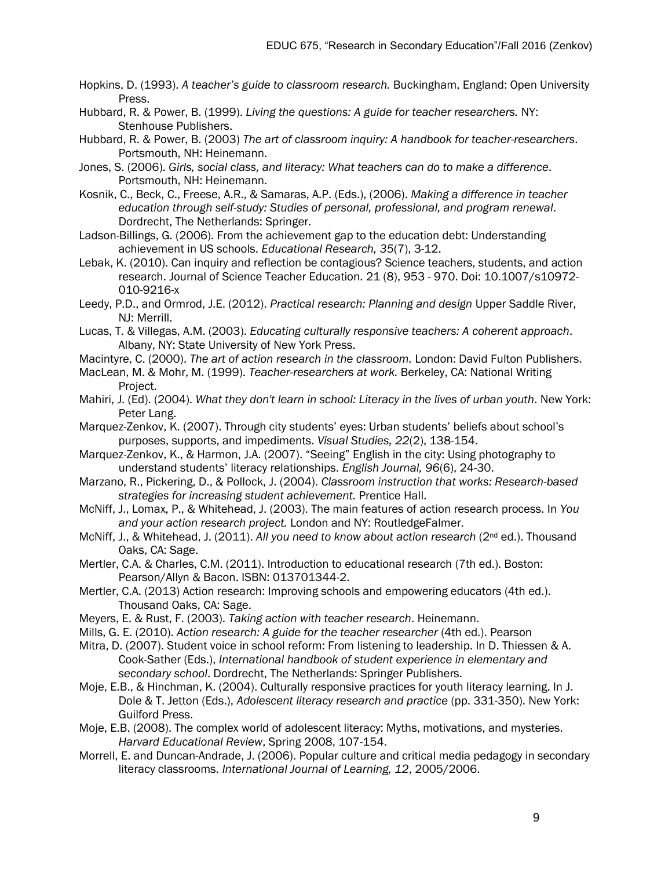- Hopkins, D. (1993). *A teacher's guide to classroom research.* Buckingham, England: Open University Press.
- Hubbard, R. & Power, B. (1999). *Living the questions: A guide for teacher researchers.* NY: Stenhouse Publishers.
- Hubbard, R. & Power, B. (2003) *The art of classroom inquiry: A handbook for teacher-researchers*. Portsmouth, NH: Heinemann.
- Jones, S. (2006). *Girls, social class, and literacy: What teachers can do to make a difference*. Portsmouth, NH: Heinemann.
- Kosnik, C., Beck, C., Freese, A.R., & Samaras, A.P. (Eds.), (2006). *Making a difference in teacher education through self-study: Studies of personal, professional, and program renewal*. Dordrecht, The Netherlands: Springer.
- Ladson-Billings, G. (2006). From the achievement gap to the education debt: Understanding achievement in US schools. *Educational Research, 35*(7), 3-12.
- Lebak, K. (2010). Can inquiry and reflection be contagious? Science teachers, students, and action research. Journal of Science Teacher Education. 21 (8), 953 - 970. Doi: 10.1007/s10972- 010-9216-x
- Leedy, P.D., and Ormrod, J.E. (2012). *Practical research: Planning and design* Upper Saddle River, NJ: Merrill.
- Lucas, T. & Villegas, A.M. (2003). *Educating culturally responsive teachers: A coherent approach*. Albany, NY: State University of New York Press.
- Macintyre, C. (2000). *The art of action research in the classroom.* London: David Fulton Publishers.
- MacLean, M. & Mohr, M. (1999). *Teacher-researchers at work.* Berkeley, CA: National Writing Project.
- Mahiri, J. (Ed). (2004). *What they don't learn in school: Literacy in the lives of urban youth*. New York: Peter Lang.
- Marquez-Zenkov, K. (2007). Through city students' eyes: Urban students' beliefs about school's purposes, supports, and impediments. *Visual Studies, 22*(2), 138-154.
- Marquez-Zenkov, K., & Harmon, J.A. (2007). "Seeing" English in the city: Using photography to understand students' literacy relationships. *English Journal, 96*(6), 24-30.
- Marzano, R., Pickering, D., & Pollock, J. (2004). *Classroom instruction that works: Research-based strategies for increasing student achievement.* Prentice Hall.
- McNiff, J., Lomax, P., & Whitehead, J. (2003). The main features of action research process. In *You and your action research project.* London and NY: RoutledgeFalmer.
- McNiff, J., & Whitehead, J. (2011). *All you need to know about action research* (2nd ed.). Thousand Oaks, CA: Sage.
- Mertler, C.A. & Charles, C.M. (2011). Introduction to educational research (7th ed.). Boston: Pearson/Allyn & Bacon. ISBN: 013701344-2.
- Mertler, C.A. (2013) Action research: Improving schools and empowering educators (4th ed.). Thousand Oaks, CA: Sage.
- Meyers, E. & Rust, F. (2003). *Taking action with teacher research*. Heinemann.
- Mills, G. E. (2010). *Action research: A guide for the teacher researcher* (4th ed.). Pearson
- Mitra, D. (2007). Student voice in school reform: From listening to leadership. In D. Thiessen & A. Cook-Sather (Eds.), *International handbook of student experience in elementary and secondary school*. Dordrecht, The Netherlands: Springer Publishers.
- Moje, E.B., & Hinchman, K. (2004). Culturally responsive practices for youth literacy learning. In J. Dole & T. Jetton (Eds.), *Adolescent literacy research and practice* (pp. 331-350). New York: Guilford Press.
- Moje, E.B. (2008). The complex world of adolescent literacy: Myths, motivations, and mysteries. *Harvard Educational Review*, Spring 2008, 107-154.
- Morrell, E. and Duncan-Andrade, J. (2006). Popular culture and critical media pedagogy in secondary literacy classrooms. *International Journal of Learning, 12*, 2005/2006.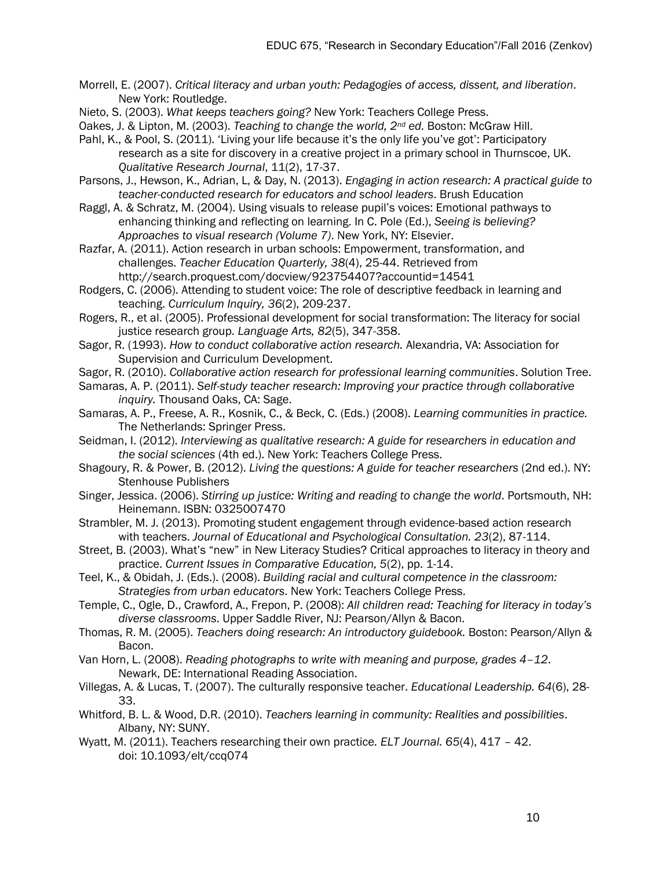- Morrell, E. (2007). *Critical literacy and urban youth: Pedagogies of access, dissent, and liberation*. New York: Routledge.
- Nieto, S. (2003). *What keeps teachers going?* New York: Teachers College Press.
- Oakes, J. & Lipton, M. (2003). *Teaching to change the world, 2nd ed.* Boston: McGraw Hill.
- Pahl, K., & Pool, S. (2011). 'Living your life because it's the only life you've got': Participatory research as a site for discovery in a creative project in a primary school in Thurnscoe, UK. *Qualitative Research Journal*, 11(2), 17-37.
- Parsons, J., Hewson, K., Adrian, L, & Day, N. (2013). *Engaging in action research: A practical guide to teacher-conducted research for educators and school leaders*. Brush Education
- Raggl, A. & Schratz, M. (2004). Using visuals to release pupil's voices: Emotional pathways to enhancing thinking and reflecting on learning. In C. Pole (Ed.), *Seeing is believing? Approaches to visual research (Volume 7)*. New York, NY: Elsevier.
- Razfar, A. (2011). Action research in urban schools: Empowerment, transformation, and challenges. *Teacher Education Quarterly, 38*(4), 25-44. Retrieved from http://search.proquest.com/docview/923754407?accountid=14541
- Rodgers, C. (2006). Attending to student voice: The role of descriptive feedback in learning and teaching. *Curriculum Inquiry, 36*(2), 209-237.
- Rogers, R., et al. (2005). Professional development for social transformation: The literacy for social justice research group. *Language Arts, 82*(5), 347-358.
- Sagor, R. (1993). *How to conduct collaborative action research.* Alexandria, VA: Association for Supervision and Curriculum Development.
- Sagor, R. (2010). *Collaborative action research for professional learning communities*. Solution Tree.
- Samaras, A. P. (2011). *Self-study teacher research: Improving your practice through collaborative inquiry.* Thousand Oaks, CA: Sage.
- Samaras, A. P., Freese, A. R., Kosnik, C., & Beck, C. (Eds.) (2008). *Learning communities in practice.*  The Netherlands: Springer Press.
- Seidman, I. (2012). *Interviewing as qualitative research: A guide for researchers in education and the social sciences* (4th ed.). New York: Teachers College Press.
- Shagoury, R. & Power, B. (2012). *Living the questions: A guide for teacher researchers* (2nd ed.). NY: Stenhouse Publishers
- Singer, Jessica. (2006). *Stirring up justice: Writing and reading to change the world*. Portsmouth, NH: Heinemann. ISBN: 0325007470
- Strambler, M. J. (2013). Promoting student engagement through evidence-based action research with teachers. *Journal of Educational and Psychological Consultation. 23*(2), 87-114.
- Street, B. (2003). What's "new" in New Literacy Studies? Critical approaches to literacy in theory and practice. *Current Issues in Comparative Education, 5*(2), pp. 1-14.
- Teel, K., & Obidah, J. (Eds.). (2008). *Building racial and cultural competence in the classroom: Strategies from urban educators*. New York: Teachers College Press.
- Temple, C., Ogle, D., Crawford, A., Frepon, P. (2008): *All children read: Teaching for literacy in today's diverse classrooms*. Upper Saddle River, NJ: Pearson/Allyn & Bacon.
- Thomas, R. M. (2005). *Teachers doing research: An introductory guidebook.* Boston: Pearson/Allyn & Bacon.
- Van Horn, L. (2008). *Reading photographs to write with meaning and purpose, grades 4–12*. Newark, DE: International Reading Association.
- Villegas, A. & Lucas, T. (2007). The culturally responsive teacher. *Educational Leadership. 64*(6), 28- 33.
- Whitford, B. L. & Wood, D.R. (2010). *Teachers learning in community: Realities and possibilities*. Albany, NY: SUNY.
- Wyatt, M. (2011). Teachers researching their own practice*. ELT Journal. 65*(4), 417 42. doi: 10.1093/elt/ccq074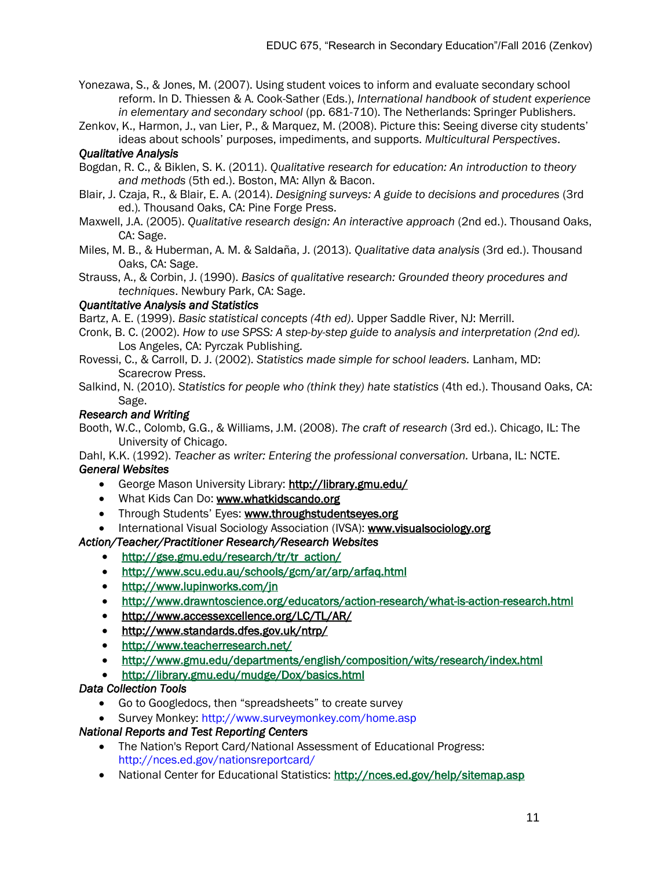Yonezawa, S., & Jones, M. (2007). Using student voices to inform and evaluate secondary school reform. In D. Thiessen & A. Cook-Sather (Eds.), *International handbook of student experience in elementary and secondary school* (pp. 681-710). The Netherlands: Springer Publishers.

Zenkov, K., Harmon, J., van Lier, P., & Marquez, M. (2008). Picture this: Seeing diverse city students' ideas about schools' purposes, impediments, and supports. *Multicultural Perspectives*.

# *Qualitative Analysis*

- Bogdan, R. C., & Biklen, S. K. (2011). *Qualitative research for education: An introduction to theory and methods* (5th ed.). Boston, MA: Allyn & Bacon.
- Blair, J. Czaja, R., & Blair, E. A. (2014). *Designing surveys: A guide to decisions and procedures* (3rd ed.)*.* Thousand Oaks, CA: Pine Forge Press.
- Maxwell, J.A. (2005). *Qualitative research design: An interactive approach* (2nd ed.). Thousand Oaks, CA: Sage.
- Miles, M. B., & Huberman, A. M. & Salda̴̴̴ña, J. (2013). *Qualitative data analysis* (3rd ed.). Thousand Oaks, CA: Sage.
- Strauss, A., & Corbin, J. (1990). *Basics of qualitative research: Grounded theory procedures and techniques*. Newbury Park, CA: Sage.

# *Quantitative Analysis and Statistics*

Bartz, A. E. (1999). *Basic statistical concepts (4th ed)*. Upper Saddle River, NJ: Merrill.

- Cronk, B. C. (2002). *How to use SPSS: A step-by-step guide to analysis and interpretation (2nd ed).*  Los Angeles, CA: Pyrczak Publishing.
- Rovessi, C., & Carroll, D. J. (2002). *Statistics made simple for school leaders.* Lanham, MD: Scarecrow Press.
- Salkind, N. (2010). *Statistics for people who (think they) hate statistics (4th ed.)*. Thousand Oaks, CA: Sage.

# *Research and Writing*

Booth, W.C., Colomb, G.G., & Williams, J.M. (2008). *The craft of research* (3rd ed.). Chicago, IL: The University of Chicago.

Dahl, K.K. (1992). *Teacher as writer: Entering the professional conversation.* Urbana, IL: NCTE. *General Websites* 

- George Mason University Library:<http://library.gmu.edu/>
- What Kids Can Do: [www.whatkidscando.org](http://www.whatkidscando.org/)
- Through Students' Eyes: [www.throughstudentseyes.org](http://www.throughstudentseyes.org/)
- International Visual Sociology Association (IVSA): [www.visualsociology.org](http://www.visualsociology.org/)

# *Action/Teacher/Practitioner Research/Research Websites*

- [http://gse.gmu.edu/research/tr/tr\\_action/](http://gse.gmu.edu/research/tr/tr_action/)
- <http://www.scu.edu.au/schools/gcm/ar/arp/arfaq.html>
- <http://www.lupinworks.com/jn>
- <http://www.drawntoscience.org/educators/action-research/what-is-action-research.html>
- <http://www.accessexcellence.org/LC/TL/AR/>
- <http://www.standards.dfes.gov.uk/ntrp/>
- <http://www.teacherresearch.net/>
- <http://www.gmu.edu/departments/english/composition/wits/research/index.html>
- <http://library.gmu.edu/mudge/Dox/basics.html>

# *Data Collection Tools*

- Go to Googledocs, then "spreadsheets" to create survey
- Survey Monkey: http://www.surveymonkey.com/home.asp

# *National Reports and Test Reporting Centers*

- The Nation's Report Card/National Assessment of Educational Progress: http://nces.ed.gov/nationsreportcard/
- National Center for Educational Statistics: http://nces.ed.gov/help/sitemap.asp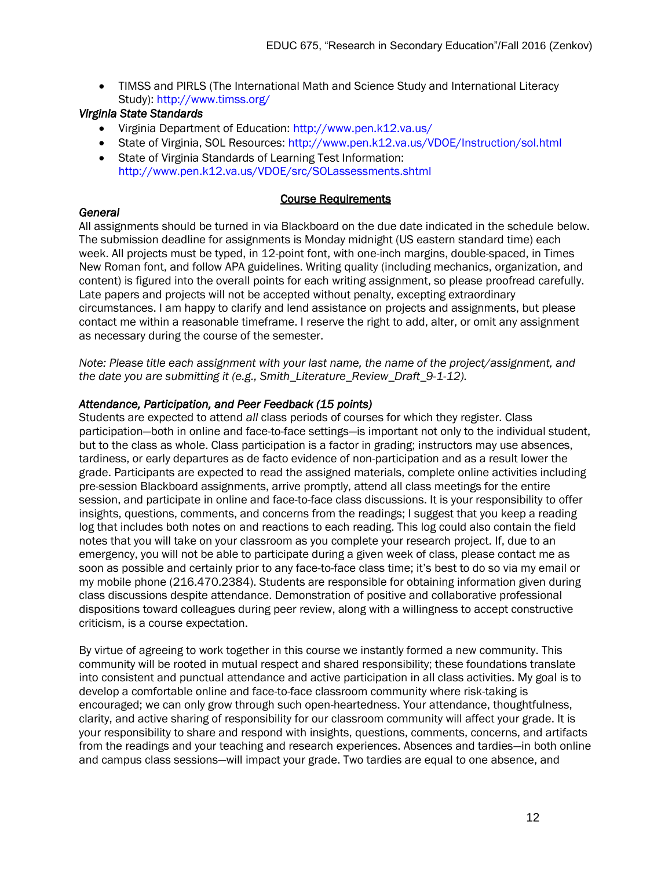TIMSS and PIRLS (The International Math and Science Study and International Literacy Study): http://www.timss.org/

# *Virginia State Standards*

- Virginia Department of Education: http://www.pen.k12.va.us/
- State of Virginia, SOL Resources: http://www.pen.k12.va.us/VDOE/Instruction/sol.html
- State of Virginia Standards of Learning Test Information: http://www.pen.k12.va.us/VDOE/src/SOLassessments.shtml

# Course Requirements

# *General*

All assignments should be turned in via Blackboard on the due date indicated in the schedule below. The submission deadline for assignments is Monday midnight (US eastern standard time) each week. All projects must be typed, in 12-point font, with one-inch margins, double-spaced, in Times New Roman font, and follow APA guidelines. Writing quality (including mechanics, organization, and content) is figured into the overall points for each writing assignment, so please proofread carefully. Late papers and projects will not be accepted without penalty, excepting extraordinary circumstances. I am happy to clarify and lend assistance on projects and assignments, but please contact me within a reasonable timeframe. I reserve the right to add, alter, or omit any assignment as necessary during the course of the semester.

*Note: Please title each assignment with your last name, the name of the project/assignment, and the date you are submitting it (e.g., Smith\_Literature\_Review\_Draft\_9-1-12).*

# *Attendance, Participation, and Peer Feedback (15 points)*

Students are expected to attend *all* class periods of courses for which they register. Class participation—both in online and face-to-face settings—is important not only to the individual student, but to the class as whole. Class participation is a factor in grading; instructors may use absences, tardiness, or early departures as de facto evidence of non-participation and as a result lower the grade. Participants are expected to read the assigned materials, complete online activities including pre-session Blackboard assignments, arrive promptly, attend all class meetings for the entire session, and participate in online and face-to-face class discussions. It is your responsibility to offer insights, questions, comments, and concerns from the readings; I suggest that you keep a reading log that includes both notes on and reactions to each reading. This log could also contain the field notes that you will take on your classroom as you complete your research project. If, due to an emergency, you will not be able to participate during a given week of class, please contact me as soon as possible and certainly prior to any face-to-face class time; it's best to do so via my email or my mobile phone (216.470.2384). Students are responsible for obtaining information given during class discussions despite attendance. Demonstration of positive and collaborative professional dispositions toward colleagues during peer review, along with a willingness to accept constructive criticism, is a course expectation.

By virtue of agreeing to work together in this course we instantly formed a new community. This community will be rooted in mutual respect and shared responsibility; these foundations translate into consistent and punctual attendance and active participation in all class activities. My goal is to develop a comfortable online and face-to-face classroom community where risk-taking is encouraged; we can only grow through such open-heartedness. Your attendance, thoughtfulness, clarity, and active sharing of responsibility for our classroom community will affect your grade. It is your responsibility to share and respond with insights, questions, comments, concerns, and artifacts from the readings and your teaching and research experiences. Absences and tardies—in both online and campus class sessions—will impact your grade. Two tardies are equal to one absence, and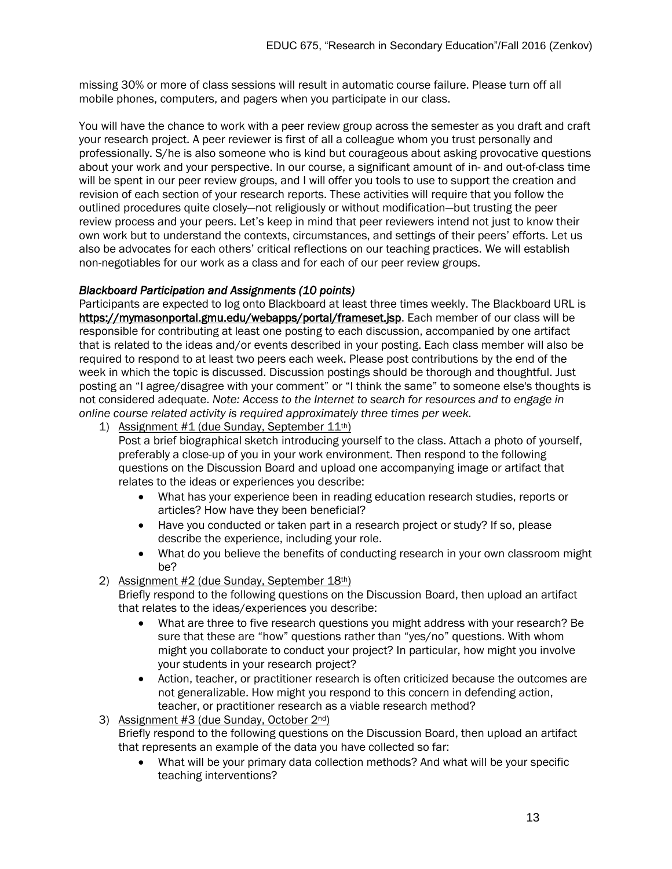missing 30% or more of class sessions will result in automatic course failure. Please turn off all mobile phones, computers, and pagers when you participate in our class.

You will have the chance to work with a peer review group across the semester as you draft and craft your research project. A peer reviewer is first of all a colleague whom you trust personally and professionally. S/he is also someone who is kind but courageous about asking provocative questions about your work and your perspective. In our course, a significant amount of in- and out-of-class time will be spent in our peer review groups, and I will offer you tools to use to support the creation and revision of each section of your research reports. These activities will require that you follow the outlined procedures quite closely—not religiously or without modification—but trusting the peer review process and your peers. Let's keep in mind that peer reviewers intend not just to know their own work but to understand the contexts, circumstances, and settings of their peers' efforts. Let us also be advocates for each others' critical reflections on our teaching practices. We will establish non-negotiables for our work as a class and for each of our peer review groups.

#### *Blackboard Participation and Assignments (10 points)*

Participants are expected to log onto Blackboard at least three times weekly. The Blackboard URL is [https://mymasonportal.gmu.edu/webapps/portal/frameset.jsp.](https://mymasonportal.gmu.edu/webapps/portal/frameset.jsp) Each member of our class will be responsible for contributing at least one posting to each discussion, accompanied by one artifact that is related to the ideas and/or events described in your posting. Each class member will also be required to respond to at least two peers each week. Please post contributions by the end of the week in which the topic is discussed. Discussion postings should be thorough and thoughtful. Just posting an "I agree/disagree with your comment" or "I think the same" to someone else's thoughts is not considered adequate. *Note: Access to the Internet to search for resources and to engage in online course related activity is required approximately three times per week.* 

1) Assignment  $#1$  (due Sunday, September  $11<sup>th</sup>$ )

Post a brief biographical sketch introducing yourself to the class. Attach a photo of yourself, preferably a close-up of you in your work environment. Then respond to the following questions on the Discussion Board and upload one accompanying image or artifact that relates to the ideas or experiences you describe:

- What has your experience been in reading education research studies, reports or articles? How have they been beneficial?
- Have you conducted or taken part in a research project or study? If so, please describe the experience, including your role.
- What do you believe the benefits of conducting research in your own classroom might be?
- 2) Assignment #2 (due Sunday, September 18th)

Briefly respond to the following questions on the Discussion Board, then upload an artifact that relates to the ideas/experiences you describe:

- What are three to five research questions you might address with your research? Be sure that these are "how" questions rather than "yes/no" questions. With whom might you collaborate to conduct your project? In particular, how might you involve your students in your research project?
- Action, teacher, or practitioner research is often criticized because the outcomes are not generalizable. How might you respond to this concern in defending action, teacher, or practitioner research as a viable research method?
- 3) Assignment #3 (due Sunday, October 2<sup>nd</sup>)

Briefly respond to the following questions on the Discussion Board, then upload an artifact that represents an example of the data you have collected so far:

 What will be your primary data collection methods? And what will be your specific teaching interventions?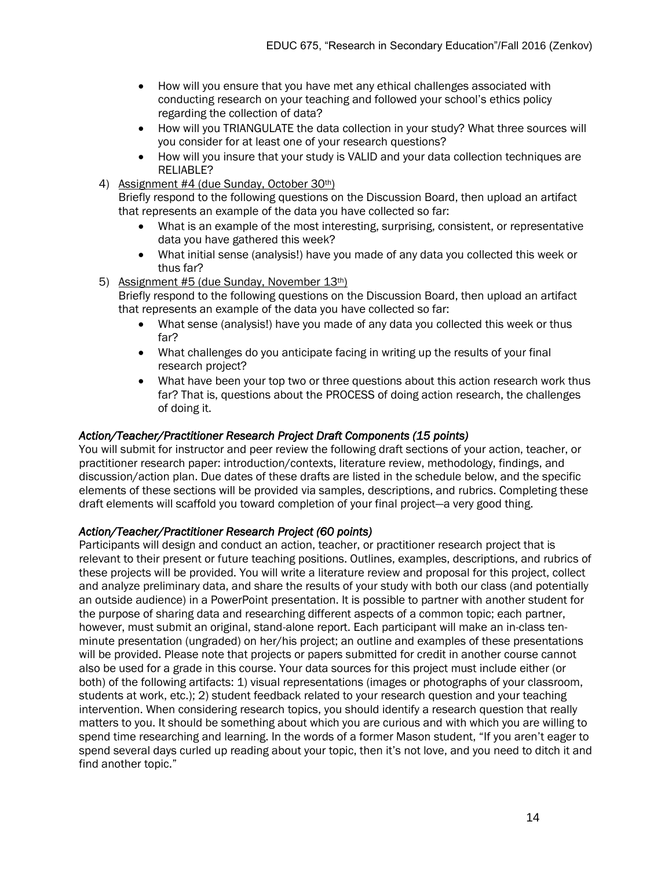- How will you ensure that you have met any ethical challenges associated with conducting research on your teaching and followed your school's ethics policy regarding the collection of data?
- How will you TRIANGULATE the data collection in your study? What three sources will you consider for at least one of your research questions?
- How will you insure that your study is VALID and your data collection techniques are RELIABLE?
- 4) Assignment #4 (due Sunday, October 30th)

Briefly respond to the following questions on the Discussion Board, then upload an artifact that represents an example of the data you have collected so far:

- What is an example of the most interesting, surprising, consistent, or representative data you have gathered this week?
- What initial sense (analysis!) have you made of any data you collected this week or thus far?
- 5) Assignment #5 (due Sunday, November 13th)

Briefly respond to the following questions on the Discussion Board, then upload an artifact that represents an example of the data you have collected so far:

- What sense (analysis!) have you made of any data you collected this week or thus far?
- What challenges do you anticipate facing in writing up the results of your final research project?
- What have been your top two or three questions about this action research work thus far? That is, questions about the PROCESS of doing action research, the challenges of doing it.

#### *Action/Teacher/Practitioner Research Project Draft Components (15 points)*

You will submit for instructor and peer review the following draft sections of your action, teacher, or practitioner research paper: introduction/contexts, literature review, methodology, findings, and discussion/action plan. Due dates of these drafts are listed in the schedule below, and the specific elements of these sections will be provided via samples, descriptions, and rubrics. Completing these draft elements will scaffold you toward completion of your final project—a very good thing.

#### *Action/Teacher/Practitioner Research Project (60 points)*

Participants will design and conduct an action, teacher, or practitioner research project that is relevant to their present or future teaching positions. Outlines, examples, descriptions, and rubrics of these projects will be provided. You will write a literature review and proposal for this project, collect and analyze preliminary data, and share the results of your study with both our class (and potentially an outside audience) in a PowerPoint presentation. It is possible to partner with another student for the purpose of sharing data and researching different aspects of a common topic; each partner, however, must submit an original, stand-alone report. Each participant will make an in-class tenminute presentation (ungraded) on her/his project; an outline and examples of these presentations will be provided. Please note that projects or papers submitted for credit in another course cannot also be used for a grade in this course. Your data sources for this project must include either (or both) of the following artifacts: 1) visual representations (images or photographs of your classroom, students at work, etc.); 2) student feedback related to your research question and your teaching intervention. When considering research topics, you should identify a research question that really matters to you. It should be something about which you are curious and with which you are willing to spend time researching and learning. In the words of a former Mason student, "If you aren't eager to spend several days curled up reading about your topic, then it's not love, and you need to ditch it and find another topic."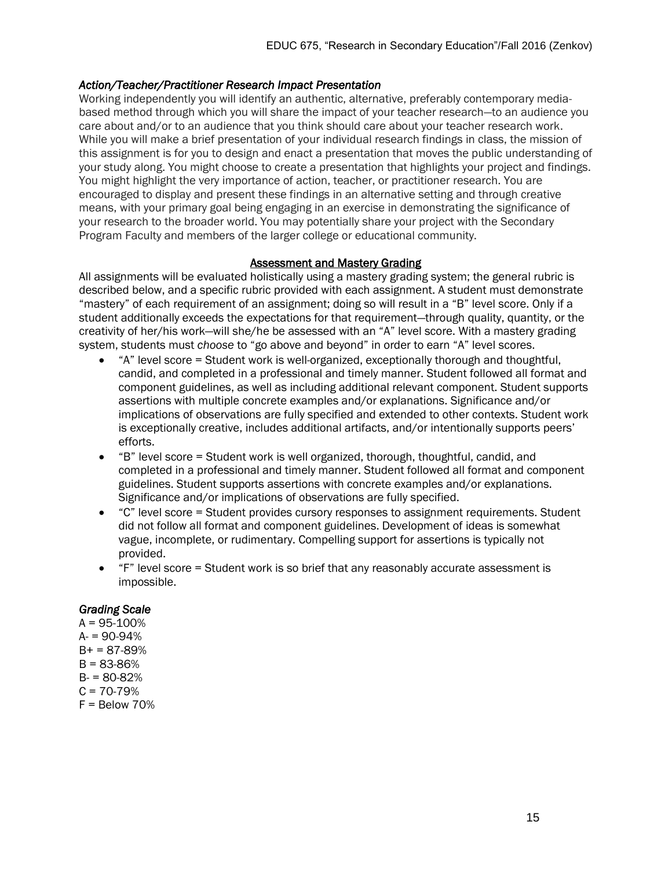# *Action/Teacher/Practitioner Research Impact Presentation*

Working independently you will identify an authentic, alternative, preferably contemporary mediabased method through which you will share the impact of your teacher research—to an audience you care about and/or to an audience that you think should care about your teacher research work. While you will make a brief presentation of your individual research findings in class, the mission of this assignment is for you to design and enact a presentation that moves the public understanding of your study along. You might choose to create a presentation that highlights your project and findings. You might highlight the very importance of action, teacher, or practitioner research. You are encouraged to display and present these findings in an alternative setting and through creative means, with your primary goal being engaging in an exercise in demonstrating the significance of your research to the broader world. You may potentially share your project with the Secondary Program Faculty and members of the larger college or educational community.

#### Assessment and Mastery Grading

All assignments will be evaluated holistically using a mastery grading system; the general rubric is described below, and a specific rubric provided with each assignment. A student must demonstrate "mastery" of each requirement of an assignment; doing so will result in a "B" level score. Only if a student additionally exceeds the expectations for that requirement—through quality, quantity, or the creativity of her/his work—will she/he be assessed with an "A" level score. With a mastery grading system, students must *choose* to "go above and beyond" in order to earn "A" level scores.

- "A" level score = Student work is well-organized, exceptionally thorough and thoughtful, candid, and completed in a professional and timely manner. Student followed all format and component guidelines, as well as including additional relevant component. Student supports assertions with multiple concrete examples and/or explanations. Significance and/or implications of observations are fully specified and extended to other contexts. Student work is exceptionally creative, includes additional artifacts, and/or intentionally supports peers' efforts.
- "B" level score = Student work is well organized, thorough, thoughtful, candid, and completed in a professional and timely manner. Student followed all format and component guidelines. Student supports assertions with concrete examples and/or explanations. Significance and/or implications of observations are fully specified.
- "C" level score = Student provides cursory responses to assignment requirements. Student did not follow all format and component guidelines. Development of ideas is somewhat vague, incomplete, or rudimentary. Compelling support for assertions is typically not provided.
- "F" level score = Student work is so brief that any reasonably accurate assessment is impossible.

# *Grading Scale*

 $A = 95 - 100%$  $A = 90-94%$  $B+ = 87-89%$  $B = 83 - 86%$  $B = 80 - 82%$  $C = 70-79%$  $F =$  Below 70%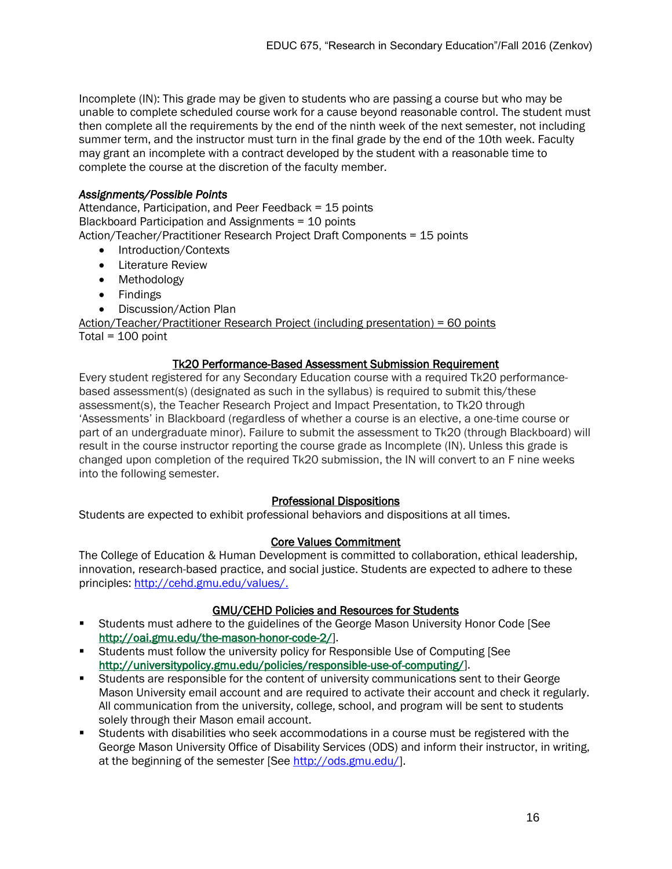Incomplete (IN): This grade may be given to students who are passing a course but who may be unable to complete scheduled course work for a cause beyond reasonable control. The student must then complete all the requirements by the end of the ninth week of the next semester, not including summer term, and the instructor must turn in the final grade by the end of the 10th week. Faculty may grant an incomplete with a contract developed by the student with a reasonable time to complete the course at the discretion of the faculty member.

# *Assignments/Possible Points*

Attendance, Participation, and Peer Feedback = 15 points Blackboard Participation and Assignments = 10 points Action/Teacher/Practitioner Research Project Draft Components = 15 points

- Introduction/Contexts
- **•** Literature Review
- Methodology
- Findings
- Discussion/Action Plan

Action/Teacher/Practitioner Research Project (including presentation) = 60 points  $Total = 100$  point

#### Tk20 Performance-Based Assessment Submission Requirement

Every student registered for any Secondary Education course with a required Tk20 performancebased assessment(s) (designated as such in the syllabus) is required to submit this/these assessment(s), the Teacher Research Project and Impact Presentation, to Tk20 through 'Assessments' in Blackboard (regardless of whether a course is an elective, a one-time course or part of an undergraduate minor). Failure to submit the assessment to Tk20 (through Blackboard) will result in the course instructor reporting the course grade as Incomplete (IN). Unless this grade is changed upon completion of the required Tk20 submission, the IN will convert to an F nine weeks into the following semester.

#### Professional Dispositions

Students are expected to exhibit professional behaviors and dispositions at all times.

#### Core Values Commitment

The College of Education & Human Development is committed to collaboration, ethical leadership, innovation, research-based practice, and social justice. Students are expected to adhere to these principles: [http://cehd.gmu.edu/values/.](http://cehd.gmu.edu/values/)

#### GMU/CEHD Policies and Resources for Students

- Students must adhere to the guidelines of the George Mason University Honor Code [See [http://oai.gmu.edu/the-mason-honor-code-2/\]](http://oai.gmu.edu/the-mason-honor-code-2/).
- Students must follow the university policy for Responsible Use of Computing [See [http://universitypolicy.gmu.edu/policies/responsible-use-of-computing/\]](http://universitypolicy.gmu.edu/policies/responsible-use-of-computing/).
- Students are responsible for the content of university communications sent to their George Mason University email account and are required to activate their account and check it regularly. All communication from the university, college, school, and program will be sent to students solely through their Mason email account.
- Students with disabilities who seek accommodations in a course must be registered with the George Mason University Office of Disability Services (ODS) and inform their instructor, in writing, at the beginning of the semester [See [http://ods.gmu.edu/\]](http://ods.gmu.edu/).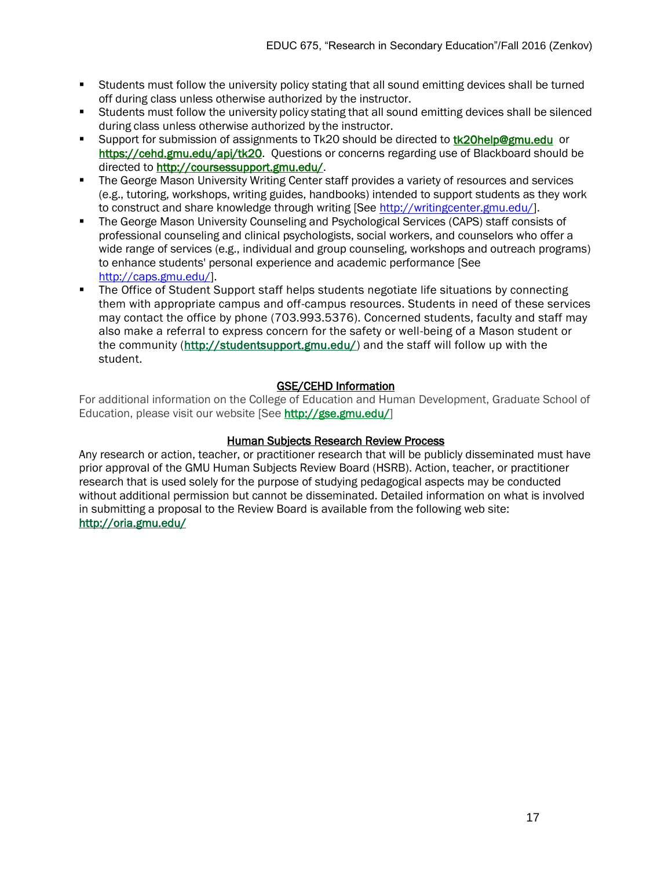- **Students must follow the university policy stating that all sound emitting devices shall be turned** off during class unless otherwise authorized by the instructor.
- Students must follow the university policy stating that all sound emitting devices shall be silenced during class unless otherwise authorized by the instructor.
- Support for submission of assignments to Tk20 should be directed to **tk20help@gmu.edu** or [https://cehd.gmu.edu/api/tk20.](https://cehd.gmu.edu/api/tk20) Questions or concerns regarding use of Blackboard should be directed to [http://coursessupport.gmu.edu/.](http://coursessupport.gmu.edu/)
- **The George Mason University Writing Center staff provides a variety of resources and services** (e.g., tutoring, workshops, writing guides, handbooks) intended to support students as they work to construct and share knowledge through writing [See [http://writingcenter.gmu.edu/\]](http://writingcenter.gmu.edu/).
- The George Mason University Counseling and Psychological Services (CAPS) staff consists of professional counseling and clinical psychologists, social workers, and counselors who offer a wide range of services (e.g., individual and group counseling, workshops and outreach programs) to enhance students' personal experience and academic performance [See [http://caps.gmu.edu/\]](http://caps.gmu.edu/).
- The Office of Student Support staff helps students negotiate life situations by connecting them with appropriate campus and off-campus resources. Students in need of these services may contact the office by phone (703.993.5376). Concerned students, faculty and staff may also make a referral to express concern for the safety or well-being of a Mason student or the community [\(http://studentsupport.gmu.edu/\)](http://studentsupport.gmu.edu/) and the staff will follow up with the student.

# GSE/CEHD Information

For additional information on the College of Education and Human Development, Graduate School of Education, please visit our website [See [http://gse.gmu.edu/\]](http://gse.gmu.edu/)

### Human Subjects Research Review Process

Any research or action, teacher, or practitioner research that will be publicly disseminated must have prior approval of the GMU Human Subjects Review Board (HSRB). Action, teacher, or practitioner research that is used solely for the purpose of studying pedagogical aspects may be conducted without additional permission but cannot be disseminated. Detailed information on what is involved in submitting a proposal to the Review Board is available from the following web site: <http://oria.gmu.edu/>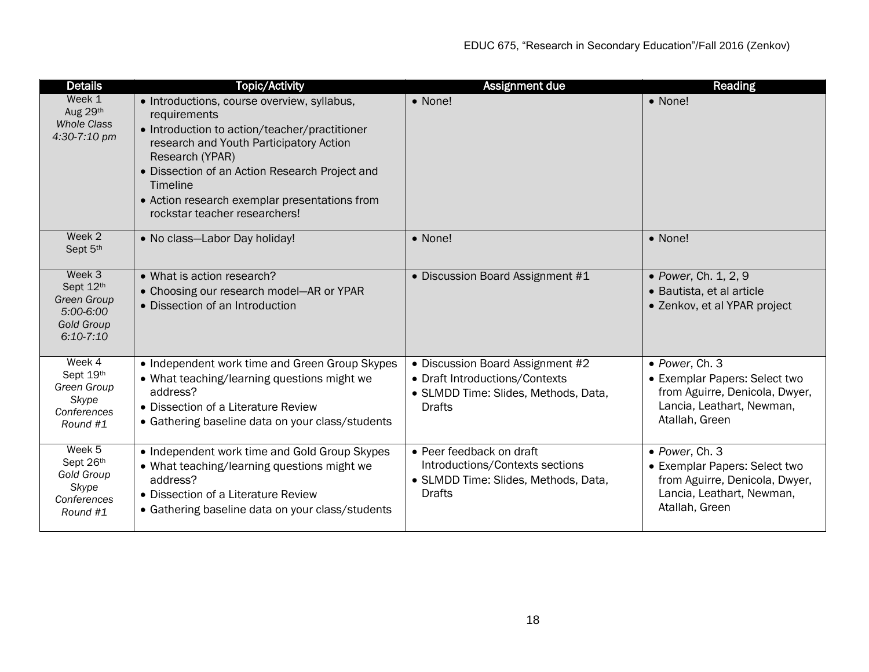| <b>Details</b>                                                                             | <b>Topic/Activity</b>                                                                                                                                                                                                                                                                                                      | Assignment due                                                                                                              | Reading                                                                                                                          |
|--------------------------------------------------------------------------------------------|----------------------------------------------------------------------------------------------------------------------------------------------------------------------------------------------------------------------------------------------------------------------------------------------------------------------------|-----------------------------------------------------------------------------------------------------------------------------|----------------------------------------------------------------------------------------------------------------------------------|
| Week 1<br>Aug 29th<br><b>Whole Class</b><br>4:30-7:10 pm                                   | • Introductions, course overview, syllabus,<br>requirements<br>• Introduction to action/teacher/practitioner<br>research and Youth Participatory Action<br>Research (YPAR)<br>• Dissection of an Action Research Project and<br>Timeline<br>• Action research exemplar presentations from<br>rockstar teacher researchers! | • None!                                                                                                                     | • None!                                                                                                                          |
| Week 2<br>Sept 5th                                                                         | • No class-Labor Day holiday!                                                                                                                                                                                                                                                                                              | • None!                                                                                                                     | • None!                                                                                                                          |
| Week 3<br>Sept 12th<br><b>Green Group</b><br>5:00-6:00<br><b>Gold Group</b><br>$6:10-7:10$ | • What is action research?<br>• Choosing our research model-AR or YPAR<br>• Dissection of an Introduction                                                                                                                                                                                                                  | • Discussion Board Assignment #1                                                                                            | • Power, Ch. 1, 2, 9<br>· Bautista, et al article<br>• Zenkov, et al YPAR project                                                |
| Week 4<br>Sept 19th<br>Green Group<br>Skype<br>Conferences<br>Round #1                     | • Independent work time and Green Group Skypes<br>• What teaching/learning questions might we<br>address?<br>• Dissection of a Literature Review<br>• Gathering baseline data on your class/students                                                                                                                       | • Discussion Board Assignment #2<br>• Draft Introductions/Contexts<br>• SLMDD Time: Slides, Methods, Data,<br><b>Drafts</b> | • Power, Ch. 3<br>• Exemplar Papers: Select two<br>from Aguirre, Denicola, Dwyer,<br>Lancia, Leathart, Newman,<br>Atallah, Green |
| Week 5<br>Sept 26th<br><b>Gold Group</b><br>Skype<br>Conferences<br>Round #1               | • Independent work time and Gold Group Skypes<br>• What teaching/learning questions might we<br>address?<br>• Dissection of a Literature Review<br>• Gathering baseline data on your class/students                                                                                                                        | • Peer feedback on draft<br>Introductions/Contexts sections<br>• SLMDD Time: Slides, Methods, Data,<br><b>Drafts</b>        | • Power, Ch. 3<br>• Exemplar Papers: Select two<br>from Aguirre, Denicola, Dwyer,<br>Lancia, Leathart, Newman,<br>Atallah, Green |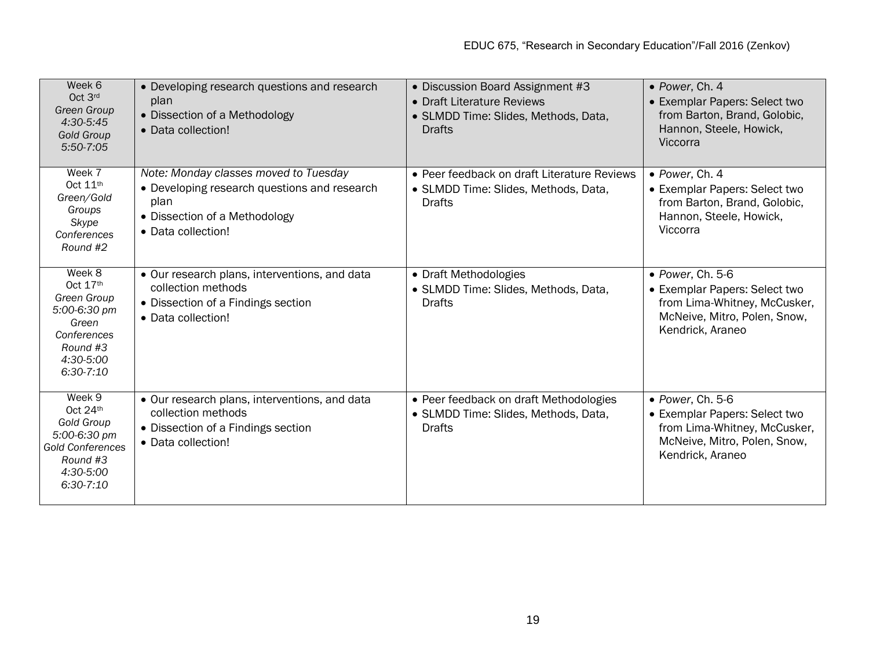| Week 6<br>Oct 3rd<br><b>Green Group</b><br>4:30-5:45<br><b>Gold Group</b><br>5:50-7:05                                     | • Developing research questions and research<br>plan<br>• Dissection of a Methodology<br>• Data collection!                                          | • Discussion Board Assignment #3<br>• Draft Literature Reviews<br>• SLMDD Time: Slides, Methods, Data,<br><b>Drafts</b> | • Power, Ch. 4<br>• Exemplar Papers: Select two<br>from Barton, Brand, Golobic,<br>Hannon, Steele, Howick,<br>Viccorra                        |
|----------------------------------------------------------------------------------------------------------------------------|------------------------------------------------------------------------------------------------------------------------------------------------------|-------------------------------------------------------------------------------------------------------------------------|-----------------------------------------------------------------------------------------------------------------------------------------------|
| Week 7<br>Oct 11th<br>Green/Gold<br>Groups<br>Skype<br>Conferences<br>Round #2                                             | Note: Monday classes moved to Tuesday<br>• Developing research questions and research<br>plan<br>• Dissection of a Methodology<br>• Data collection! | • Peer feedback on draft Literature Reviews<br>• SLMDD Time: Slides, Methods, Data,<br>Drafts                           | • Power, Ch. 4<br>• Exemplar Papers: Select two<br>from Barton, Brand, Golobic,<br>Hannon, Steele, Howick,<br>Viccorra                        |
| Week 8<br>Oct 17th<br>Green Group<br>5:00-6:30 pm<br>Green<br>Conferences<br>Round #3<br>4:30-5:00<br>$6:30-7:10$          | • Our research plans, interventions, and data<br>collection methods<br>• Dissection of a Findings section<br>• Data collection!                      | • Draft Methodologies<br>• SLMDD Time: Slides, Methods, Data,<br><b>Drafts</b>                                          | $\bullet$ Power, Ch. 5-6<br>• Exemplar Papers: Select two<br>from Lima-Whitney, McCusker,<br>McNeive, Mitro, Polen, Snow,<br>Kendrick, Araneo |
| Week 9<br>Oct 24th<br><b>Gold Group</b><br>5:00-6:30 pm<br><b>Gold Conferences</b><br>Round #3<br>4:30-5:00<br>$6:30-7:10$ | • Our research plans, interventions, and data<br>collection methods<br>• Dissection of a Findings section<br>• Data collection!                      | • Peer feedback on draft Methodologies<br>• SLMDD Time: Slides, Methods, Data,<br><b>Drafts</b>                         | $\bullet$ Power, Ch. 5-6<br>• Exemplar Papers: Select two<br>from Lima-Whitney, McCusker,<br>McNeive, Mitro, Polen, Snow,<br>Kendrick, Araneo |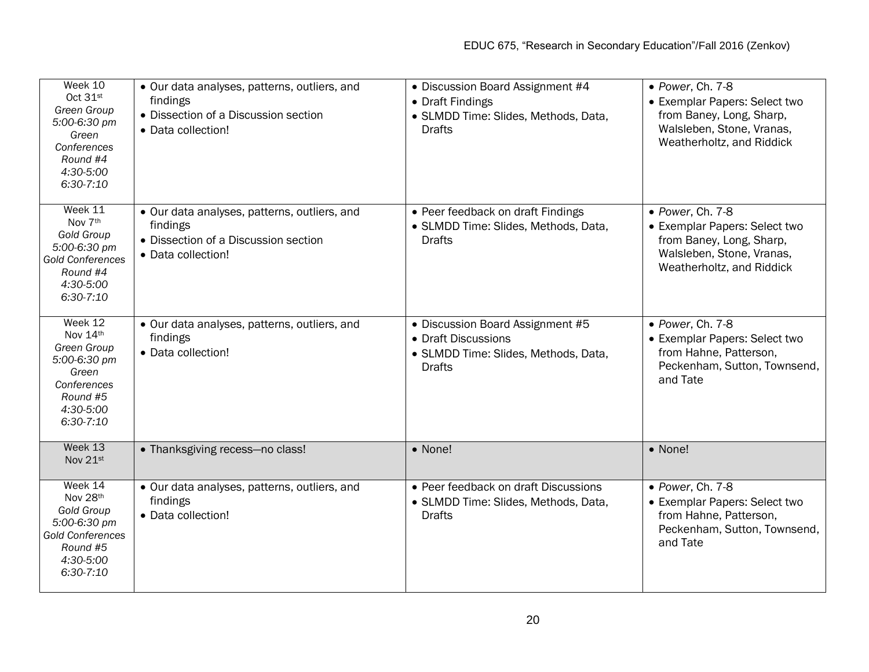| Week 10<br>Oct 31st<br>Green Group<br>5:00-6:30 pm<br>Green<br>Conferences<br>Round #4<br>4:30-5:00<br>$6:30-7:10$   | · Our data analyses, patterns, outliers, and<br>findings<br>• Dissection of a Discussion section<br>• Data collection! | • Discussion Board Assignment #4<br>• Draft Findings<br>· SLMDD Time: Slides, Methods, Data,<br><b>Drafts</b>    | • Power, Ch. 7-8<br>• Exemplar Papers: Select two<br>from Baney, Long, Sharp,<br>Walsleben, Stone, Vranas,<br>Weatherholtz, and Riddick |
|----------------------------------------------------------------------------------------------------------------------|------------------------------------------------------------------------------------------------------------------------|------------------------------------------------------------------------------------------------------------------|-----------------------------------------------------------------------------------------------------------------------------------------|
| Week 11<br>Nov 7th<br>Gold Group<br>5:00-6:30 pm<br><b>Gold Conferences</b><br>Round #4<br>4:30-5:00<br>$6:30-7:10$  | • Our data analyses, patterns, outliers, and<br>findings<br>• Dissection of a Discussion section<br>• Data collection! | • Peer feedback on draft Findings<br>• SLMDD Time: Slides, Methods, Data,<br><b>Drafts</b>                       | • Power, Ch. 7-8<br>• Exemplar Papers: Select two<br>from Baney, Long, Sharp,<br>Walsleben, Stone, Vranas,<br>Weatherholtz, and Riddick |
| Week 12<br>Nov 14th<br>Green Group<br>5:00-6:30 pm<br>Green<br>Conferences<br>Round #5<br>4:30-5:00<br>$6:30-7:10$   | · Our data analyses, patterns, outliers, and<br>findings<br>• Data collection!                                         | • Discussion Board Assignment #5<br>• Draft Discussions<br>· SLMDD Time: Slides, Methods, Data,<br><b>Drafts</b> | · Power, Ch. 7-8<br>• Exemplar Papers: Select two<br>from Hahne, Patterson,<br>Peckenham, Sutton, Townsend,<br>and Tate                 |
| Week 13<br>Nov 21st                                                                                                  | • Thanksgiving recess-no class!                                                                                        | • None!                                                                                                          | • None!                                                                                                                                 |
| Week 14<br>Nov 28th<br>Gold Group<br>5:00-6:30 pm<br><b>Gold Conferences</b><br>Round #5<br>4:30-5:00<br>$6:30-7:10$ | • Our data analyses, patterns, outliers, and<br>findings<br>• Data collection!                                         | • Peer feedback on draft Discussions<br>• SLMDD Time: Slides, Methods, Data,<br><b>Drafts</b>                    | • Power, Ch. 7-8<br>• Exemplar Papers: Select two<br>from Hahne, Patterson,<br>Peckenham, Sutton, Townsend,<br>and Tate                 |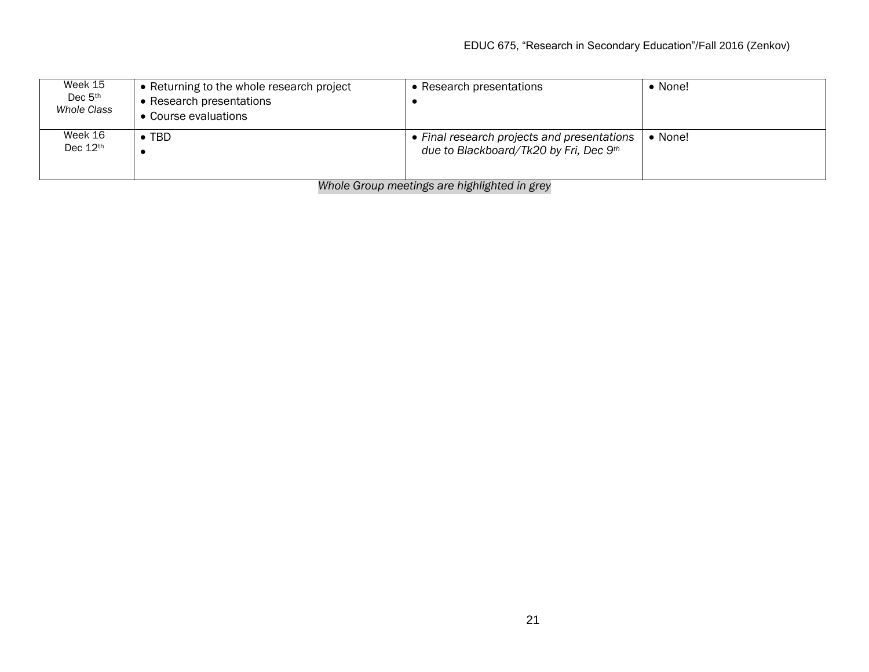| Week 15<br>Dec $5th$<br>Whole Class | • Returning to the whole research project<br>• Research presentations<br>• Course evaluations | Research presentations                                                              | $\bullet$ None! |
|-------------------------------------|-----------------------------------------------------------------------------------------------|-------------------------------------------------------------------------------------|-----------------|
| Week 16<br>Dec 12th                 | <b>TBD</b>                                                                                    | Final research projects and presentations<br>due to Blackboard/Tk20 by Fri, Dec 9th | • None!         |

*Whole Group meetings are highlighted in grey*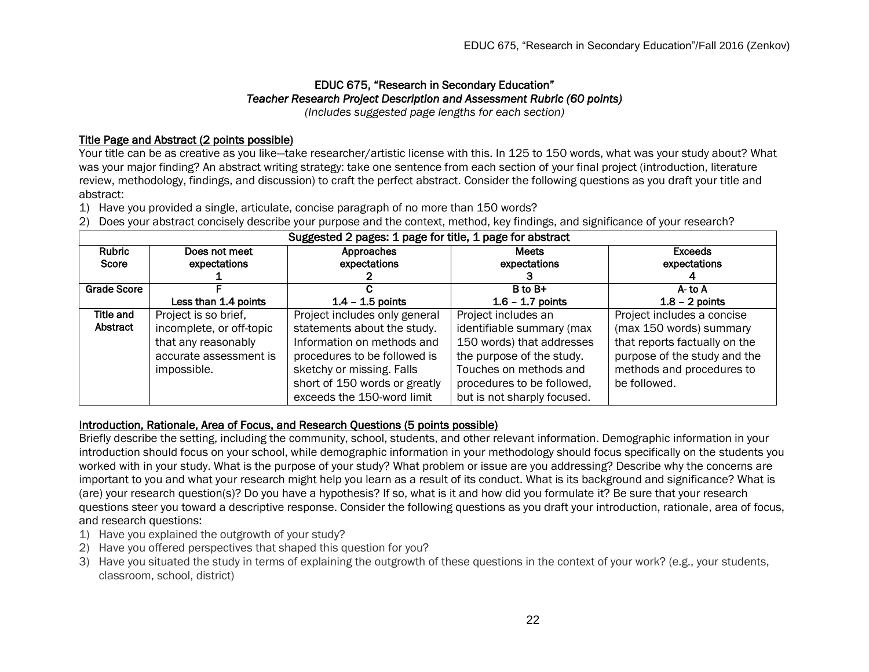# EDUC 675, "Research in Secondary Education" *Teacher Research Project Description and Assessment Rubric (60 points)*

*(Includes suggested page lengths for each section)*

# Title Page and Abstract (2 points possible)

Your title can be as creative as you like-take researcher/artistic license with this. In 125 to 150 words, what was your study about? What was your major finding? An abstract writing strategy: take one sentence from each section of your final project (introduction, literature review, methodology, findings, and discussion) to craft the perfect abstract. Consider the following questions as you draft your title and abstract:

- 1) Have you provided a single, articulate, concise paragraph of no more than 150 words?
- 2) Does your abstract concisely describe your purpose and the context, method, key findings, and significance of your research?

| Suggested 2 pages: 1 page for title, 1 page for abstract |                          |                               |                             |                               |
|----------------------------------------------------------|--------------------------|-------------------------------|-----------------------------|-------------------------------|
| <b>Rubric</b>                                            | Does not meet            | Approaches                    | <b>Meets</b>                | <b>Exceeds</b>                |
| Score                                                    | expectations             | expectations                  | expectations                | expectations                  |
|                                                          |                          |                               |                             |                               |
| <b>Grade Score</b>                                       |                          |                               | $B$ to $B+$                 | A- to A                       |
|                                                          | Less than 1.4 points     | $1.4 - 1.5$ points            | $1.6 - 1.7$ points          | $1.8 - 2$ points              |
| Title and                                                | Project is so brief,     | Project includes only general | Project includes an         | Project includes a concise    |
| Abstract                                                 | incomplete, or off-topic | statements about the study.   | identifiable summary (max   | (max 150 words) summary       |
|                                                          | that any reasonably      | Information on methods and    | 150 words) that addresses   | that reports factually on the |
|                                                          | accurate assessment is   | procedures to be followed is  | the purpose of the study.   | purpose of the study and the  |
|                                                          | impossible.              | sketchy or missing. Falls     | Touches on methods and      | methods and procedures to     |
|                                                          |                          | short of 150 words or greatly | procedures to be followed,  | be followed.                  |
|                                                          |                          | exceeds the 150-word limit    | but is not sharply focused. |                               |

#### Introduction, Rationale, Area of Focus, and Research Questions (5 points possible)

Briefly describe the setting, including the community, school, students, and other relevant information. Demographic information in your introduction should focus on your school, while demographic information in your methodology should focus specifically on the students you worked with in your study. What is the purpose of your study? What problem or issue are you addressing? Describe why the concerns are important to you and what your research might help you learn as a result of its conduct. What is its background and significance? What is (are) your research question(s)? Do you have a hypothesis? If so, what is it and how did you formulate it? Be sure that your research questions steer you toward a descriptive response. Consider the following questions as you draft your introduction, rationale, area of focus, and research questions:

- 1) Have you explained the outgrowth of your study?
- 2) Have you offered perspectives that shaped this question for you?
- 3) Have you situated the study in terms of explaining the outgrowth of these questions in the context of your work? (e.g., your students, classroom, school, district)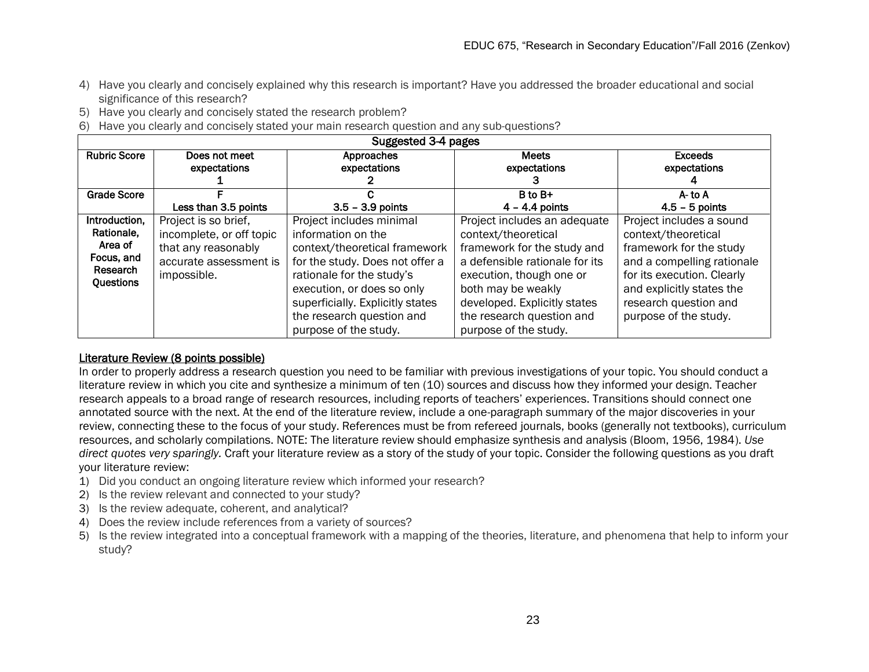- 4) Have you clearly and concisely explained why this research is important? Have you addressed the broader educational and social significance of this research?
- 5) Have you clearly and concisely stated the research problem?
- 6) Have you clearly and concisely stated your main research question and any sub-questions?

| Suggested 3-4 pages                                                           |                                                                                                                  |                                                                                                                                                                                                                                                                         |                                                                                                                                                                                                                                                              |                                                                                                                                                                                                                       |
|-------------------------------------------------------------------------------|------------------------------------------------------------------------------------------------------------------|-------------------------------------------------------------------------------------------------------------------------------------------------------------------------------------------------------------------------------------------------------------------------|--------------------------------------------------------------------------------------------------------------------------------------------------------------------------------------------------------------------------------------------------------------|-----------------------------------------------------------------------------------------------------------------------------------------------------------------------------------------------------------------------|
| <b>Rubric Score</b>                                                           | Does not meet<br>expectations                                                                                    | Approaches<br>expectations                                                                                                                                                                                                                                              | <b>Meets</b><br>expectations                                                                                                                                                                                                                                 | <b>Exceeds</b><br>expectations                                                                                                                                                                                        |
| <b>Grade Score</b>                                                            |                                                                                                                  |                                                                                                                                                                                                                                                                         | B to B+                                                                                                                                                                                                                                                      | A-to A                                                                                                                                                                                                                |
|                                                                               | Less than 3.5 points                                                                                             | $3.5 - 3.9$ points                                                                                                                                                                                                                                                      | $4 - 4.4$ points                                                                                                                                                                                                                                             | $4.5 - 5$ points                                                                                                                                                                                                      |
| Introduction,<br>Rationale,<br>Area of<br>Focus, and<br>Research<br>Questions | Project is so brief,<br>incomplete, or off topic<br>that any reasonably<br>accurate assessment is<br>impossible. | Project includes minimal<br>information on the<br>context/theoretical framework<br>for the study. Does not offer a<br>rationale for the study's<br>execution, or does so only<br>superficially. Explicitly states<br>the research question and<br>purpose of the study. | Project includes an adequate<br>context/theoretical<br>framework for the study and<br>a defensible rationale for its<br>execution, though one or<br>both may be weakly<br>developed. Explicitly states<br>the research question and<br>purpose of the study. | Project includes a sound<br>context/theoretical<br>framework for the study<br>and a compelling rationale<br>for its execution. Clearly<br>and explicitly states the<br>research question and<br>purpose of the study. |

#### Literature Review (8 points possible)

In order to properly address a research question you need to be familiar with previous investigations of your topic. You should conduct a literature review in which you cite and synthesize a minimum of ten (10) sources and discuss how they informed your design. Teacher research appeals to a broad range of research resources, including reports of teachers' experiences. Transitions should connect one annotated source with the next. At the end of the literature review, include a one-paragraph summary of the major discoveries in your review, connecting these to the focus of your study. References must be from refereed journals, books (generally not textbooks), curriculum resources, and scholarly compilations. NOTE: The literature review should emphasize synthesis and analysis (Bloom, 1956, 1984). *Use direct quotes very sparingly.* Craft your literature review as a story of the study of your topic. Consider the following questions as you draft your literature review:

- 1) Did you conduct an ongoing literature review which informed your research?
- 2) Is the review relevant and connected to your study?
- 3) Is the review adequate, coherent, and analytical?
- 4) Does the review include references from a variety of sources?
- 5) Is the review integrated into a conceptual framework with a mapping of the theories, literature, and phenomena that help to inform your study?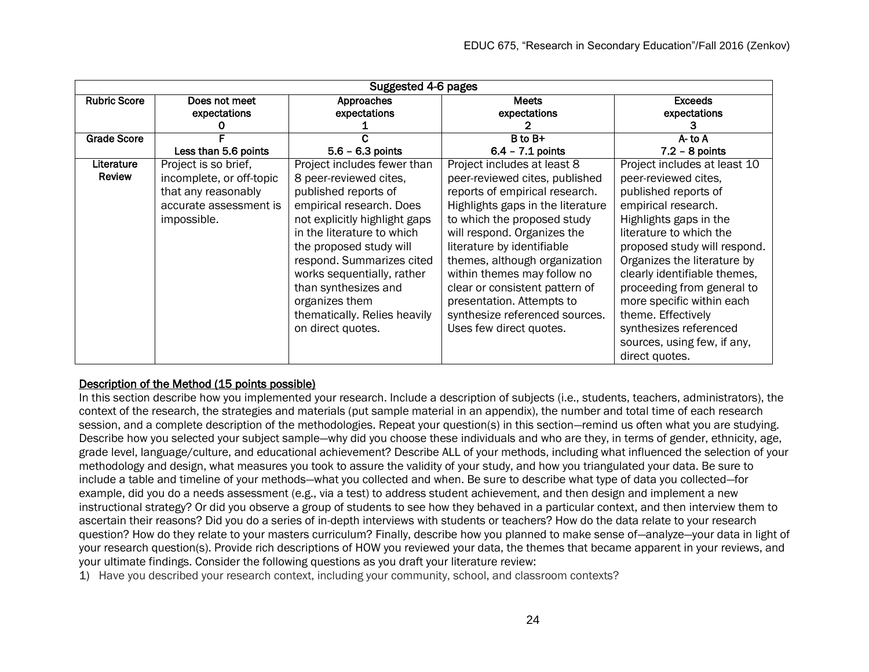| Suggested 4-6 pages |                               |                               |                                   |                                |
|---------------------|-------------------------------|-------------------------------|-----------------------------------|--------------------------------|
| <b>Rubric Score</b> | Does not meet<br>expectations | Approaches<br>expectations    | <b>Meets</b><br>expectations      | <b>Exceeds</b><br>expectations |
|                     |                               |                               |                                   |                                |
| <b>Grade Score</b>  |                               |                               | $B$ to $B+$                       | A-to A                         |
|                     | Less than 5.6 points          | $5.6 - 6.3$ points            | $6.4 - 7.1$ points                | $7.2 - 8$ points               |
| Literature          | Project is so brief,          | Project includes fewer than   | Project includes at least 8       | Project includes at least 10   |
| <b>Review</b>       | incomplete, or off-topic      | 8 peer-reviewed cites,        | peer-reviewed cites, published    | peer-reviewed cites,           |
|                     | that any reasonably           | published reports of          | reports of empirical research.    | published reports of           |
|                     | accurate assessment is        | empirical research. Does      | Highlights gaps in the literature | empirical research.            |
|                     | impossible.                   | not explicitly highlight gaps | to which the proposed study       | Highlights gaps in the         |
|                     |                               | in the literature to which    | will respond. Organizes the       | literature to which the        |
|                     |                               | the proposed study will       | literature by identifiable        | proposed study will respond.   |
|                     |                               | respond. Summarizes cited     | themes, although organization     | Organizes the literature by    |
|                     |                               | works sequentially, rather    | within themes may follow no       | clearly identifiable themes,   |
|                     |                               | than synthesizes and          | clear or consistent pattern of    | proceeding from general to     |
|                     |                               | organizes them                | presentation. Attempts to         | more specific within each      |
|                     |                               | thematically. Relies heavily  | synthesize referenced sources.    | theme. Effectively             |
|                     |                               | on direct quotes.             | Uses few direct quotes.           | synthesizes referenced         |
|                     |                               |                               |                                   | sources, using few, if any,    |
|                     |                               |                               |                                   | direct quotes.                 |

# Description of the Method (15 points possible)

In this section describe how you implemented your research. Include a description of subjects (i.e., students, teachers, administrators), the context of the research, the strategies and materials (put sample material in an appendix), the number and total time of each research session, and a complete description of the methodologies. Repeat your question(s) in this section—remind us often what you are studying. Describe how you selected your subject sample—why did you choose these individuals and who are they, in terms of gender, ethnicity, age, grade level, language/culture, and educational achievement? Describe ALL of your methods, including what influenced the selection of your methodology and design, what measures you took to assure the validity of your study, and how you triangulated your data. Be sure to include a table and timeline of your methods—what you collected and when. Be sure to describe what type of data you collected—for example, did you do a needs assessment (e.g., via a test) to address student achievement, and then design and implement a new instructional strategy? Or did you observe a group of students to see how they behaved in a particular context, and then interview them to ascertain their reasons? Did you do a series of in-depth interviews with students or teachers? How do the data relate to your research question? How do they relate to your masters curriculum? Finally, describe how you planned to make sense of—analyze—your data in light of your research question(s). Provide rich descriptions of HOW you reviewed your data, the themes that became apparent in your reviews, and your ultimate findings. Consider the following questions as you draft your literature review:

1) Have you described your research context, including your community, school, and classroom contexts?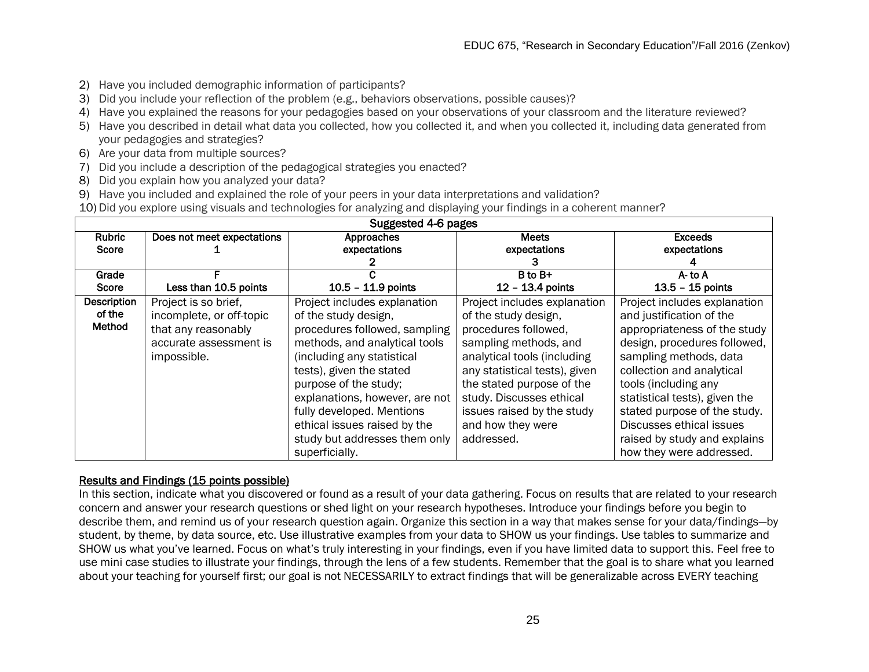- 2) Have you included demographic information of participants?
- 3) Did you include your reflection of the problem (e.g., behaviors observations, possible causes)?
- 4) Have you explained the reasons for your pedagogies based on your observations of your classroom and the literature reviewed?
- 5) Have you described in detail what data you collected, how you collected it, and when you collected it, including data generated from your pedagogies and strategies?
- 6) Are your data from multiple sources?
- 7) Did you include a description of the pedagogical strategies you enacted?
- 8) Did you explain how you analyzed your data?
- 9) Have you included and explained the role of your peers in your data interpretations and validation?
- 10) Did you explore using visuals and technologies for analyzing and displaying your findings in a coherent manner?

| Suggested 4-6 pages |                            |                                |                               |                               |
|---------------------|----------------------------|--------------------------------|-------------------------------|-------------------------------|
| <b>Rubric</b>       | Does not meet expectations | Approaches                     | <b>Meets</b>                  | <b>Exceeds</b>                |
| Score               |                            | expectations                   | expectations                  | expectations                  |
|                     |                            |                                |                               |                               |
| Grade               |                            |                                | $B$ to $B+$                   | $A -$ to $A$                  |
| Score               | Less than 10.5 points      | $10.5 - 11.9$ points           | 12 - 13.4 points              | $13.5 - 15$ points            |
| <b>Description</b>  | Project is so brief,       | Project includes explanation   | Project includes explanation  | Project includes explanation  |
| of the              | incomplete, or off-topic   | of the study design,           | of the study design,          | and justification of the      |
| Method              | that any reasonably        | procedures followed, sampling  | procedures followed,          | appropriateness of the study  |
|                     | accurate assessment is     | methods, and analytical tools  | sampling methods, and         | design, procedures followed,  |
|                     | impossible.                | (including any statistical     | analytical tools (including   | sampling methods, data        |
|                     |                            | tests), given the stated       | any statistical tests), given | collection and analytical     |
|                     |                            | purpose of the study;          | the stated purpose of the     | tools (including any          |
|                     |                            | explanations, however, are not | study. Discusses ethical      | statistical tests), given the |
|                     |                            | fully developed. Mentions      | issues raised by the study    | stated purpose of the study.  |
|                     |                            | ethical issues raised by the   | and how they were             | Discusses ethical issues      |
|                     |                            | study but addresses them only  | addressed.                    | raised by study and explains  |
|                     |                            | superficially.                 |                               | how they were addressed.      |

#### Results and Findings (15 points possible)

In this section, indicate what you discovered or found as a result of your data gathering. Focus on results that are related to your research concern and answer your research questions or shed light on your research hypotheses. Introduce your findings before you begin to describe them, and remind us of your research question again. Organize this section in a way that makes sense for your data/findings—by student, by theme, by data source, etc. Use illustrative examples from your data to SHOW us your findings. Use tables to summarize and SHOW us what you've learned. Focus on what's truly interesting in your findings, even if you have limited data to support this. Feel free to use mini case studies to illustrate your findings, through the lens of a few students. Remember that the goal is to share what you learned about your teaching for yourself first; our goal is not NECESSARILY to extract findings that will be generalizable across EVERY teaching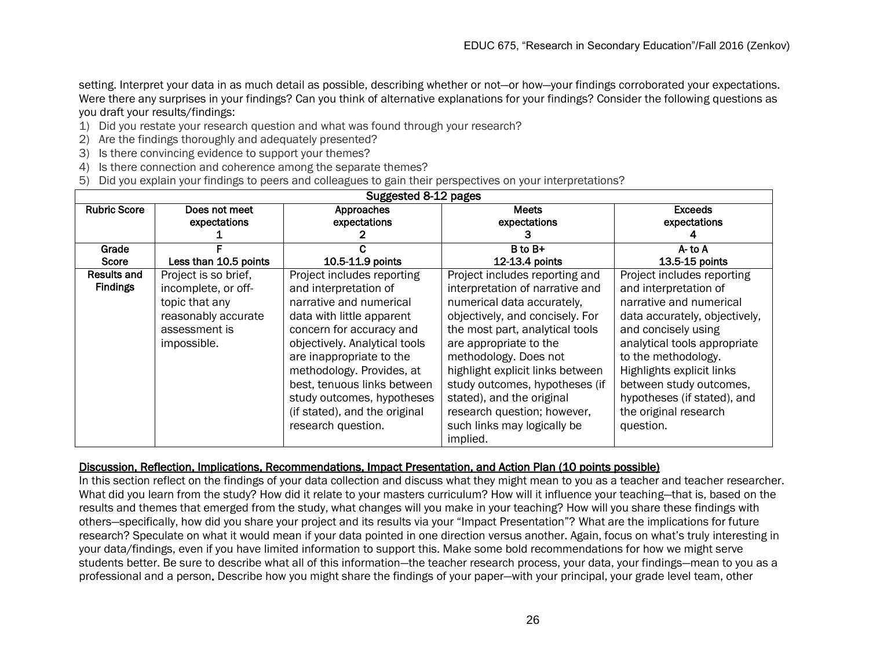setting. Interpret your data in as much detail as possible, describing whether or not—or how—your findings corroborated your expectations. Were there any surprises in your findings? Can you think of alternative explanations for your findings? Consider the following questions as you draft your results/findings:

- 1) Did you restate your research question and what was found through your research?
- 2) Are the findings thoroughly and adequately presented?
- 3) Is there convincing evidence to support your themes?
- 4) Is there connection and coherence among the separate themes?
- 5) Did you explain your findings to peers and colleagues to gain their perspectives on your interpretations?

| Suggested 8-12 pages           |                                                                                                                      |                                                                                                                                                                                                                                                                                                                                                       |                                                                                                                                                                                                                                                                                                                                                                                                       |                                                                                                                                                                                                                                                                                                                            |
|--------------------------------|----------------------------------------------------------------------------------------------------------------------|-------------------------------------------------------------------------------------------------------------------------------------------------------------------------------------------------------------------------------------------------------------------------------------------------------------------------------------------------------|-------------------------------------------------------------------------------------------------------------------------------------------------------------------------------------------------------------------------------------------------------------------------------------------------------------------------------------------------------------------------------------------------------|----------------------------------------------------------------------------------------------------------------------------------------------------------------------------------------------------------------------------------------------------------------------------------------------------------------------------|
| <b>Rubric Score</b>            | Does not meet<br>expectations                                                                                        | Approaches<br>expectations                                                                                                                                                                                                                                                                                                                            | <b>Meets</b><br>expectations                                                                                                                                                                                                                                                                                                                                                                          | <b>Exceeds</b><br>expectations                                                                                                                                                                                                                                                                                             |
| Grade                          |                                                                                                                      |                                                                                                                                                                                                                                                                                                                                                       | B to B+                                                                                                                                                                                                                                                                                                                                                                                               | A-to A                                                                                                                                                                                                                                                                                                                     |
| Score                          | Less than 10.5 points                                                                                                | 10.5-11.9 points                                                                                                                                                                                                                                                                                                                                      | 12-13.4 points                                                                                                                                                                                                                                                                                                                                                                                        | 13.5-15 points                                                                                                                                                                                                                                                                                                             |
| Results and<br><b>Findings</b> | Project is so brief,<br>incomplete, or off-<br>topic that any<br>reasonably accurate<br>assessment is<br>impossible. | Project includes reporting<br>and interpretation of<br>narrative and numerical<br>data with little apparent<br>concern for accuracy and<br>objectively. Analytical tools<br>are inappropriate to the<br>methodology. Provides, at<br>best, tenuous links between<br>study outcomes, hypotheses<br>(if stated), and the original<br>research question. | Project includes reporting and<br>interpretation of narrative and<br>numerical data accurately,<br>objectively, and concisely. For<br>the most part, analytical tools<br>are appropriate to the<br>methodology. Does not<br>highlight explicit links between<br>study outcomes, hypotheses (if<br>stated), and the original<br>research question; however,<br>such links may logically be<br>implied. | Project includes reporting<br>and interpretation of<br>narrative and numerical<br>data accurately, objectively,<br>and concisely using<br>analytical tools appropriate<br>to the methodology.<br>Highlights explicit links<br>between study outcomes,<br>hypotheses (if stated), and<br>the original research<br>question. |

#### Discussion, Reflection, Implications, Recommendations, Impact Presentation, and Action Plan (10 points possible)

In this section reflect on the findings of your data collection and discuss what they might mean to you as a teacher and teacher researcher. What did you learn from the study? How did it relate to your masters curriculum? How will it influence your teaching—that is, based on the results and themes that emerged from the study, what changes will you make in your teaching? How will you share these findings with others—specifically, how did you share your project and its results via your "Impact Presentation"? What are the implications for future research? Speculate on what it would mean if your data pointed in one direction versus another. Again, focus on what's truly interesting in your data/findings, even if you have limited information to support this. Make some bold recommendations for how we might serve students better. Be sure to describe what all of this information—the teacher research process, your data, your findings—mean to you as a professional and a person. Describe how you might share the findings of your paper—with your principal, your grade level team, other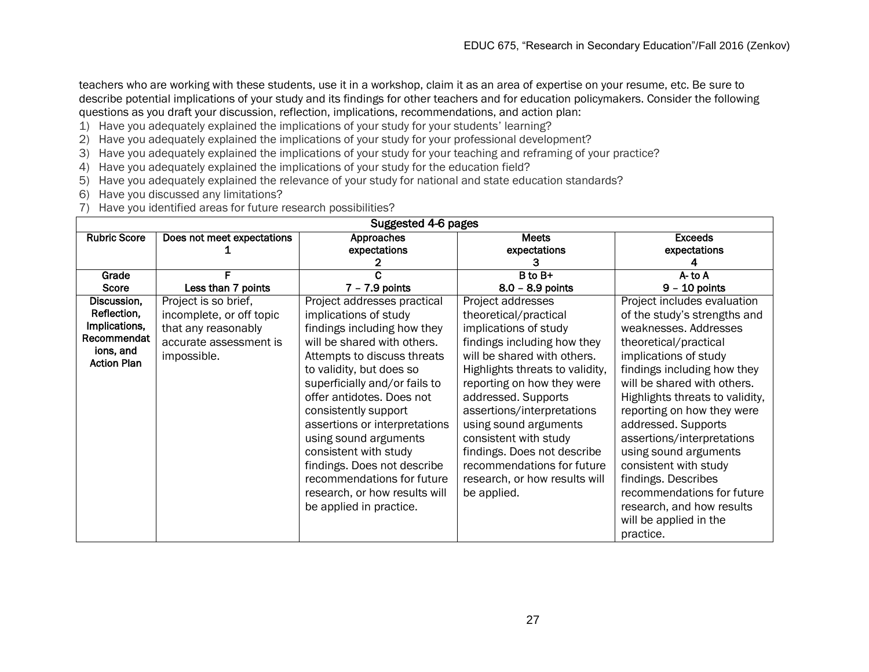teachers who are working with these students, use it in a workshop, claim it as an area of expertise on your resume, etc. Be sure to describe potential implications of your study and its findings for other teachers and for education policymakers. Consider the following questions as you draft your discussion, reflection, implications, recommendations, and action plan:

- 1) Have you adequately explained the implications of your study for your students' learning?
- 2) Have you adequately explained the implications of your study for your professional development?
- 3) Have you adequately explained the implications of your study for your teaching and reframing of your practice?
- 4) Have you adequately explained the implications of your study for the education field?
- 5) Have you adequately explained the relevance of your study for national and state education standards?
- 6) Have you discussed any limitations?
- 7) Have you identified areas for future research possibilities?

| Suggested 4-6 pages |                            |                               |                                 |                                 |  |
|---------------------|----------------------------|-------------------------------|---------------------------------|---------------------------------|--|
| <b>Rubric Score</b> | Does not meet expectations | Approaches                    | <b>Meets</b>                    | <b>Exceeds</b>                  |  |
|                     |                            | expectations                  | expectations                    | expectations                    |  |
|                     |                            |                               |                                 |                                 |  |
| Grade               |                            |                               | B to B+                         | $A$ - to $A$                    |  |
| Score               | Less than 7 points         | $7 - 7.9$ points              | $8.0 - 8.9$ points              | $9 - 10$ points                 |  |
| Discussion,         | Project is so brief,       | Project addresses practical   | Project addresses               | Project includes evaluation     |  |
| Reflection,         | incomplete, or off topic   | implications of study         | theoretical/practical           | of the study's strengths and    |  |
| Implications,       | that any reasonably        | findings including how they   | implications of study           | weaknesses. Addresses           |  |
| Recommendat         | accurate assessment is     | will be shared with others.   | findings including how they     | theoretical/practical           |  |
| ions, and           | impossible.                | Attempts to discuss threats   | will be shared with others.     | implications of study           |  |
| <b>Action Plan</b>  |                            | to validity, but does so      | Highlights threats to validity, | findings including how they     |  |
|                     |                            | superficially and/or fails to | reporting on how they were      | will be shared with others.     |  |
|                     |                            | offer antidotes. Does not     | addressed. Supports             | Highlights threats to validity, |  |
|                     |                            | consistently support          | assertions/interpretations      | reporting on how they were      |  |
|                     |                            | assertions or interpretations | using sound arguments           | addressed. Supports             |  |
|                     |                            | using sound arguments         | consistent with study           | assertions/interpretations      |  |
|                     |                            | consistent with study         | findings. Does not describe     | using sound arguments           |  |
|                     |                            | findings. Does not describe   | recommendations for future      | consistent with study           |  |
|                     |                            | recommendations for future    | research, or how results will   | findings. Describes             |  |
|                     |                            | research, or how results will | be applied.                     | recommendations for future      |  |
|                     |                            | be applied in practice.       |                                 | research, and how results       |  |
|                     |                            |                               |                                 | will be applied in the          |  |
|                     |                            |                               |                                 | practice.                       |  |
|                     |                            |                               |                                 |                                 |  |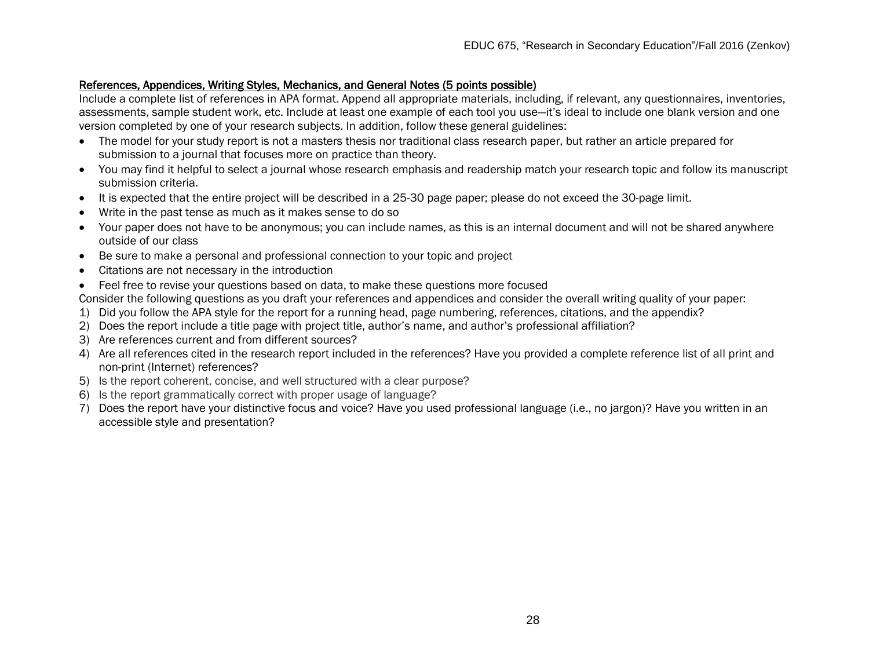### References, Appendices, Writing Styles, Mechanics, and General Notes (5 points possible)

Include a complete list of references in APA format. Append all appropriate materials, including, if relevant, any questionnaires, inventories, assessments, sample student work, etc. Include at least one example of each tool you use—it's ideal to include one blank version and one version completed by one of your research subjects. In addition, follow these general guidelines:

- The model for your study report is not a masters thesis nor traditional class research paper, but rather an article prepared for submission to a journal that focuses more on practice than theory.
- You may find it helpful to select a journal whose research emphasis and readership match your research topic and follow its manuscript submission criteria.
- It is expected that the entire project will be described in a 25-30 page paper; please do not exceed the 30-page limit.
- Write in the past tense as much as it makes sense to do so
- Your paper does not have to be anonymous; you can include names, as this is an internal document and will not be shared anywhere outside of our class
- Be sure to make a personal and professional connection to your topic and project
- Citations are not necessary in the introduction
- Feel free to revise your questions based on data, to make these questions more focused

Consider the following questions as you draft your references and appendices and consider the overall writing quality of your paper:

- 1) Did you follow the APA style for the report for a running head, page numbering, references, citations, and the appendix?
- 2) Does the report include a title page with project title, author's name, and author's professional affiliation?
- 3) Are references current and from different sources?
- 4) Are all references cited in the research report included in the references? Have you provided a complete reference list of all print and non-print (Internet) references?
- 5) Is the report coherent, concise, and well structured with a clear purpose?
- 6) Is the report grammatically correct with proper usage of language?
- 7) Does the report have your distinctive focus and voice? Have you used professional language (i.e., no jargon)? Have you written in an accessible style and presentation?